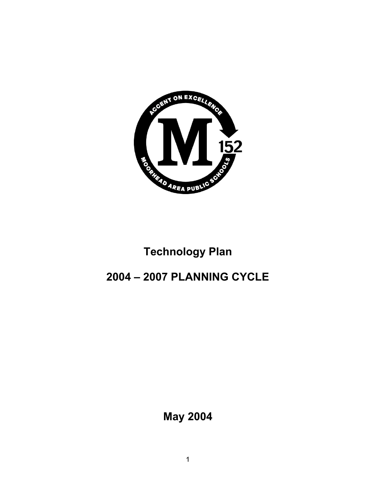

# **Technology Plan**

# **2004 – 2007 PLANNING CYCLE**

**May 2004**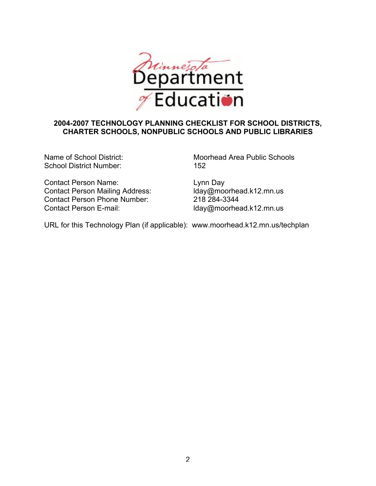

## **2004-2007 TECHNOLOGY PLANNING CHECKLIST FOR SCHOOL DISTRICTS, CHARTER SCHOOLS, NONPUBLIC SCHOOLS AND PUBLIC LIBRARIES**

School District Number: 152

Contact Person Name:<br>
Contact Person Mailing Address: loay@moorhead.k12.mn.us Contact Person Mailing Address: Contact Person Phone Number: 218 284-3344 Contact Person E-mail: lday@moorhead.k12.mn.us

Name of School District: Moorhead Area Public Schools

URL for this Technology Plan (if applicable): www.moorhead.k12.mn.us/techplan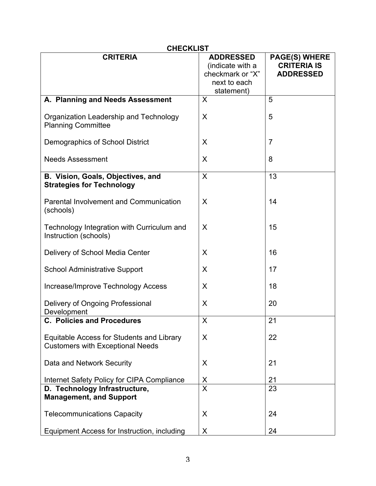| <b>CHECKLIST</b>                                                                     |                                                                                        |                                                                |  |  |
|--------------------------------------------------------------------------------------|----------------------------------------------------------------------------------------|----------------------------------------------------------------|--|--|
| <b>CRITERIA</b>                                                                      | <b>ADDRESSED</b><br>(indicate with a<br>checkmark or "X"<br>next to each<br>statement) | <b>PAGE(S) WHERE</b><br><b>CRITERIA IS</b><br><b>ADDRESSED</b> |  |  |
| A. Planning and Needs Assessment                                                     | X                                                                                      | 5                                                              |  |  |
| Organization Leadership and Technology<br><b>Planning Committee</b>                  | X                                                                                      | 5                                                              |  |  |
| Demographics of School District                                                      | X                                                                                      | $\overline{7}$                                                 |  |  |
| <b>Needs Assessment</b>                                                              | X                                                                                      | 8                                                              |  |  |
| B. Vision, Goals, Objectives, and<br><b>Strategies for Technology</b>                | X                                                                                      | 13                                                             |  |  |
| <b>Parental Involvement and Communication</b><br>(schools)                           | X                                                                                      | 14                                                             |  |  |
| Technology Integration with Curriculum and<br>Instruction (schools)                  | X                                                                                      | 15                                                             |  |  |
| Delivery of School Media Center                                                      | X                                                                                      | 16                                                             |  |  |
| <b>School Administrative Support</b>                                                 | X                                                                                      | 17                                                             |  |  |
| Increase/Improve Technology Access                                                   | X                                                                                      | 18                                                             |  |  |
| Delivery of Ongoing Professional<br>Development                                      | X                                                                                      | 20                                                             |  |  |
| <b>C. Policies and Procedures</b>                                                    | X                                                                                      | 21                                                             |  |  |
| Equitable Access for Students and Library<br><b>Customers with Exceptional Needs</b> | X                                                                                      | 22                                                             |  |  |
| Data and Network Security                                                            | X                                                                                      | 21                                                             |  |  |
| Internet Safety Policy for CIPA Compliance                                           | <u>X</u>                                                                               | 21                                                             |  |  |
| D. Technology Infrastructure,<br><b>Management, and Support</b>                      | $\overline{\mathsf{x}}$                                                                | 23                                                             |  |  |
| <b>Telecommunications Capacity</b>                                                   | X                                                                                      | 24                                                             |  |  |
| Equipment Access for Instruction, including                                          | X                                                                                      | 24                                                             |  |  |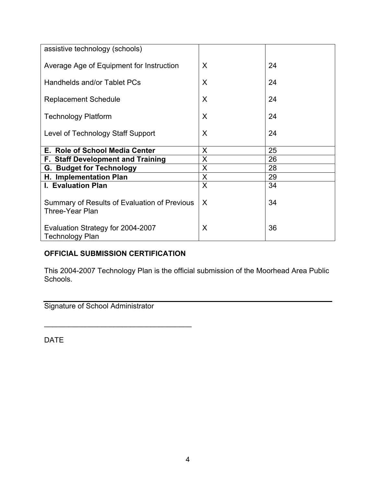| assistive technology (schools)               |   |    |
|----------------------------------------------|---|----|
|                                              |   |    |
| Average Age of Equipment for Instruction     | X | 24 |
|                                              |   |    |
| Handhelds and/or Tablet PCs                  | X | 24 |
|                                              |   |    |
| <b>Replacement Schedule</b>                  | X | 24 |
|                                              |   |    |
| <b>Technology Platform</b>                   | X | 24 |
|                                              |   |    |
| Level of Technology Staff Support            | X | 24 |
|                                              |   |    |
| E. Role of School Media Center               | X | 25 |
| <b>F. Staff Development and Training</b>     | X | 26 |
| <b>G. Budget for Technology</b>              | X | 28 |
| H. Implementation Plan                       | X | 29 |
| <b>I. Evaluation Plan</b>                    | X | 34 |
|                                              |   |    |
| Summary of Results of Evaluation of Previous | X | 34 |
| <b>Three-Year Plan</b>                       |   |    |
|                                              |   |    |
| Evaluation Strategy for 2004-2007            | X | 36 |
| <b>Technology Plan</b>                       |   |    |
|                                              |   |    |

## **OFFICIAL SUBMISSION CERTIFICATION**

 $\mathcal{L}_\text{max}$  , where  $\mathcal{L}_\text{max}$  and  $\mathcal{L}_\text{max}$  and  $\mathcal{L}_\text{max}$ 

This 2004-2007 Technology Plan is the official submission of the Moorhead Area Public Schools.

Signature of School Administrator

DATE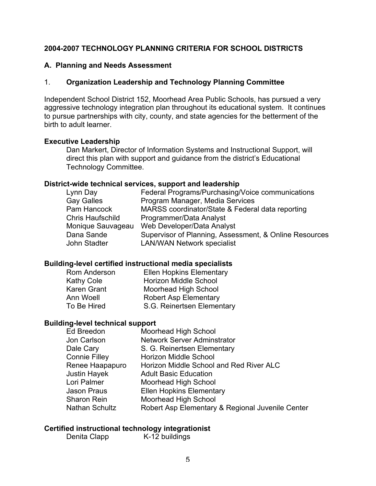#### **2004-2007 TECHNOLOGY PLANNING CRITERIA FOR SCHOOL DISTRICTS**

#### **A. Planning and Needs Assessment**

#### 1. **Organization Leadership and Technology Planning Committee**

Independent School District 152, Moorhead Area Public Schools, has pursued a very aggressive technology integration plan throughout its educational system. It continues to pursue partnerships with city, county, and state agencies for the betterment of the birth to adult learner.

#### **Executive Leadership**

Dan Markert, Director of Information Systems and Instructional Support, will direct this plan with support and guidance from the district's Educational Technology Committee.

#### **District-wide technical services, support and leadership**

| Lynn Day          | Federal Programs/Purchasing/Voice communications       |
|-------------------|--------------------------------------------------------|
| <b>Gay Galles</b> | Program Manager, Media Services                        |
| Pam Hancock       | MARSS coordinator/State & Federal data reporting       |
| Chris Haufschild  | Programmer/Data Analyst                                |
| Monique Sauvageau | Web Developer/Data Analyst                             |
| Dana Sande        | Supervisor of Planning, Assessment, & Online Resources |
| John Stadter      | <b>LAN/WAN Network specialist</b>                      |
|                   |                                                        |

#### **Building-level certified instructional media specialists**

| Rom Anderson       | <b>Ellen Hopkins Elementary</b> |
|--------------------|---------------------------------|
| <b>Kathy Cole</b>  | <b>Horizon Middle School</b>    |
| <b>Karen Grant</b> | <b>Moorhead High School</b>     |
| Ann Woell          | <b>Robert Asp Elementary</b>    |
| To Be Hired        | S.G. Reinertsen Elementary      |
|                    |                                 |

#### **Building-level technical support**

| Ed Breedon            | Moorhead High School                             |
|-----------------------|--------------------------------------------------|
| Jon Carlson           | <b>Network Server Adminstrator</b>               |
| Dale Cary             | S. G. Reinertsen Elementary                      |
| <b>Connie Filley</b>  | <b>Horizon Middle School</b>                     |
| Renee Haapapuro       | Horizon Middle School and Red River ALC          |
| <b>Justin Hayek</b>   | <b>Adult Basic Education</b>                     |
| Lori Palmer           | Moorhead High School                             |
| Jason Praus           | <b>Ellen Hopkins Elementary</b>                  |
| <b>Sharon Rein</b>    | Moorhead High School                             |
| <b>Nathan Schultz</b> | Robert Asp Elementary & Regional Juvenile Center |
|                       |                                                  |

#### **Certified instructional technology integrationist**

Denita Clapp K-12 buildings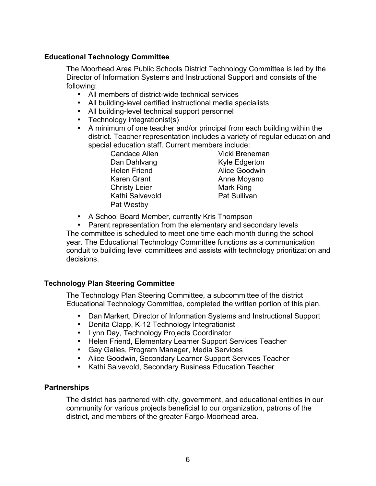## **Educational Technology Committee**

The Moorhead Area Public Schools District Technology Committee is led by the Director of Information Systems and Instructional Support and consists of the following:

- All members of district-wide technical services
- All building-level certified instructional media specialists
- All building-level technical support personnel
- Technology integrationist(s)
- A minimum of one teacher and/or principal from each building within the district. Teacher representation includes a variety of regular education and special education staff. Current members include:

Dan Dahlvang Kyle Edgerton Helen Friend **Alice Goodwin** Karen Grant **Anne Moyano** Christy Leier **Mark Ring** Kathi Salvevold **Pat Sullivan** Pat Westby

Candace Allen Vicki Breneman

• A School Board Member, currently Kris Thompson

• Parent representation from the elementary and secondary levels The committee is scheduled to meet one time each month during the school year. The Educational Technology Committee functions as a communication conduit to building level committees and assists with technology prioritization and decisions.

#### **Technology Plan Steering Committee**

The Technology Plan Steering Committee, a subcommittee of the district Educational Technology Committee, completed the written portion of this plan.

- Dan Markert, Director of Information Systems and Instructional Support
- Denita Clapp, K-12 Technology Integrationist
- Lynn Day, Technology Projects Coordinator
- Helen Friend, Elementary Learner Support Services Teacher
- Gay Galles, Program Manager, Media Services
- Alice Goodwin, Secondary Learner Support Services Teacher
- Kathi Salvevold, Secondary Business Education Teacher

#### **Partnerships**

The district has partnered with city, government, and educational entities in our community for various projects beneficial to our organization, patrons of the district, and members of the greater Fargo-Moorhead area.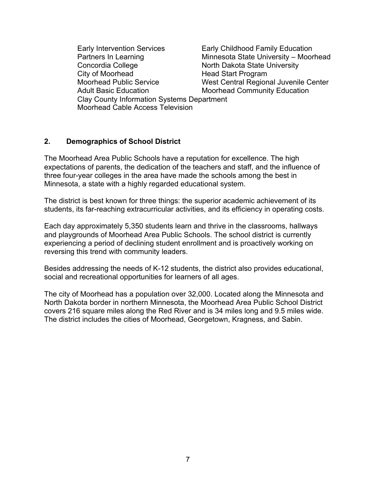Early Intervention Services Early Childhood Family Education Partners In Learning **Minnesota State University – Moorhead** Concordia College North Dakota State University City of Moorhead Head Start Program Moorhead Public Service West Central Regional Juvenile Center Adult Basic Education Moorhead Community Education Clay County Information Systems Department Moorhead Cable Access Television

#### **2. Demographics of School District**

The Moorhead Area Public Schools have a reputation for excellence. The high expectations of parents, the dedication of the teachers and staff, and the influence of three four-year colleges in the area have made the schools among the best in Minnesota, a state with a highly regarded educational system.

The district is best known for three things: the superior academic achievement of its students, its far-reaching extracurricular activities, and its efficiency in operating costs.

Each day approximately 5,350 students learn and thrive in the classrooms, hallways and playgrounds of Moorhead Area Public Schools. The school district is currently experiencing a period of declining student enrollment and is proactively working on reversing this trend with community leaders.

Besides addressing the needs of K-12 students, the district also provides educational, social and recreational opportunities for learners of all ages.

The city of Moorhead has a population over 32,000. Located along the Minnesota and North Dakota border in northern Minnesota, the Moorhead Area Public School District covers 216 square miles along the Red River and is 34 miles long and 9.5 miles wide. The district includes the cities of Moorhead, Georgetown, Kragness, and Sabin.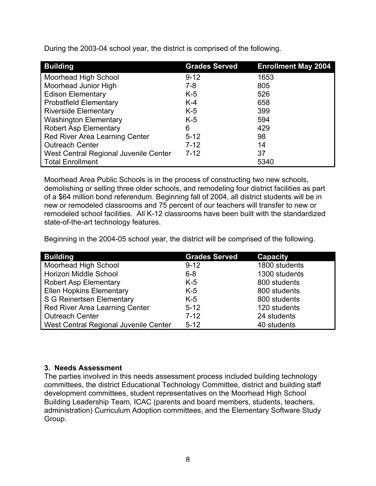| <b>Building</b>                       | <b>Grades Served</b> | <b>Enrollment May 2004</b> |
|---------------------------------------|----------------------|----------------------------|
| Moorhead High School                  | $9 - 12$             | 1653                       |
| Moorhead Junior High                  | 7-8                  | 805                        |
| <b>Edison Elementary</b>              | $K-5$                | 526                        |
| <b>Probstfield Elementary</b>         | $K-4$                | 658                        |
| <b>Riverside Elementary</b>           | $K-5$                | 399                        |
| <b>Washington Elementary</b>          | $K-5$                | 594                        |
| <b>Robert Asp Elementary</b>          | 6                    | 429                        |
| Red River Area Learning Center        | $5 - 12$             | 98                         |
| <b>Outreach Center</b>                | $7 - 12$             | 14                         |
| West Central Regional Juvenile Center | $7 - 12$             | 37                         |
| <b>Total Enrollment</b>               |                      | 5340                       |

During the 2003-04 school year, the district is comprised of the following.

Moorhead Area Public Schools is in the process of constructing two new schools, demolishing or selling three older schools, and remodeling four district facilities as part of a \$64 million bond referendum. Beginning fall of 2004, all district students will be in new or remodeled classrooms and 75 percent of our teachers will transfer to new or remodeled school facilities. All K-12 classrooms have been built with the standardized state-of-the-art technology features.

Beginning in the 2004-05 school year, the district will be comprised of the following.

| <b>Building</b>                       | <b>Grades Served</b> | <b>Capacity</b> |
|---------------------------------------|----------------------|-----------------|
| Moorhead High School                  | $9 - 12$             | 1800 students   |
| Horizon Middle School                 | $6 - 8$              | 1300 students   |
| <b>Robert Asp Elementary</b>          | $K-5$                | 800 students    |
| <b>Ellen Hopkins Elementary</b>       | $K-5$                | 800 students    |
| S G Reinertsen Elementary             | $K-5$                | 800 students    |
| Red River Area Learning Center        | $5 - 12$             | 120 students    |
| <b>Outreach Center</b>                | $7 - 12$             | 24 students     |
| West Central Regional Juvenile Center | $5 - 12$             | 40 students     |

#### **3. Needs Assessment**

The parties involved in this needs assessment process included building technology committees, the district Educational Technology Committee, district and building staff development committees, student representatives on the Moorhead High School Building Leadership Team, ICAC (parents and board members, students, teachers, administration) Curriculum Adoption committees, and the Elementary Software Study Group.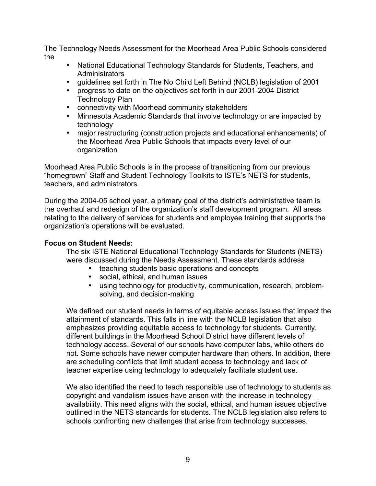The Technology Needs Assessment for the Moorhead Area Public Schools considered the

- National Educational Technology Standards for Students, Teachers, and **Administrators**
- guidelines set forth in The No Child Left Behind (NCLB) legislation of 2001
- progress to date on the objectives set forth in our 2001-2004 District Technology Plan
- connectivity with Moorhead community stakeholders
- Minnesota Academic Standards that involve technology or are impacted by technology
- major restructuring (construction projects and educational enhancements) of the Moorhead Area Public Schools that impacts every level of our organization

Moorhead Area Public Schools is in the process of transitioning from our previous "homegrown" Staff and Student Technology Toolkits to ISTE's NETS for students, teachers, and administrators.

During the 2004-05 school year, a primary goal of the district's administrative team is the overhaul and redesign of the organization's staff development program. All areas relating to the delivery of services for students and employee training that supports the organization's operations will be evaluated.

#### **Focus on Student Needs:**

The six ISTE National Educational Technology Standards for Students (NETS) were discussed during the Needs Assessment. These standards address

- teaching students basic operations and concepts
- social, ethical, and human issues<br>• using technology for productivity.
- using technology for productivity, communication, research, problemsolving, and decision-making

We defined our student needs in terms of equitable access issues that impact the attainment of standards. This falls in line with the NCLB legislation that also emphasizes providing equitable access to technology for students. Currently, different buildings in the Moorhead School District have different levels of technology access. Several of our schools have computer labs, while others do not. Some schools have newer computer hardware than others. In addition, there are scheduling conflicts that limit student access to technology and lack of teacher expertise using technology to adequately facilitate student use.

We also identified the need to teach responsible use of technology to students as copyright and vandalism issues have arisen with the increase in technology availability. This need aligns with the social, ethical, and human issues objective outlined in the NETS standards for students. The NCLB legislation also refers to schools confronting new challenges that arise from technology successes.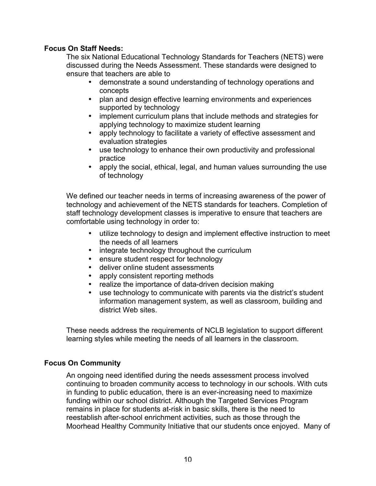## **Focus On Staff Needs:**

The six National Educational Technology Standards for Teachers (NETS) were discussed during the Needs Assessment. These standards were designed to ensure that teachers are able to

- demonstrate a sound understanding of technology operations and concepts
- plan and design effective learning environments and experiences supported by technology
- implement curriculum plans that include methods and strategies for applying technology to maximize student learning
- apply technology to facilitate a variety of effective assessment and evaluation strategies
- use technology to enhance their own productivity and professional practice
- apply the social, ethical, legal, and human values surrounding the use of technology

We defined our teacher needs in terms of increasing awareness of the power of technology and achievement of the NETS standards for teachers. Completion of staff technology development classes is imperative to ensure that teachers are comfortable using technology in order to:

- utilize technology to design and implement effective instruction to meet the needs of all learners
- integrate technology throughout the curriculum
- ensure student respect for technology<br>• deliver online student assessments
- deliver online student assessments
- apply consistent reporting methods<br>• realize the importance of data-drive
- realize the importance of data-driven decision making
- use technology to communicate with parents via the district's student information management system, as well as classroom, building and district Web sites.

These needs address the requirements of NCLB legislation to support different learning styles while meeting the needs of all learners in the classroom.

#### **Focus On Community**

An ongoing need identified during the needs assessment process involved continuing to broaden community access to technology in our schools. With cuts in funding to public education, there is an ever-increasing need to maximize funding within our school district. Although the Targeted Services Program remains in place for students at-risk in basic skills, there is the need to reestablish after-school enrichment activities, such as those through the Moorhead Healthy Community Initiative that our students once enjoyed. Many of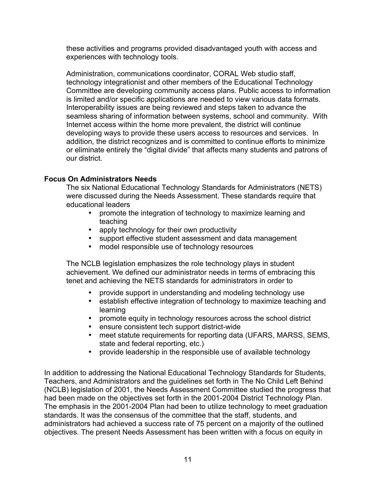these activities and programs provided disadvantaged youth with access and experiences with technology tools.

Administration, communications coordinator, CORAL Web studio staff, technology integrationist and other members of the Educational Technology Committee are developing community access plans. Public access to information is limited and/or specific applications are needed to view various data formats. Interoperability issues are being reviewed and steps taken to advance the seamless sharing of information between systems, school and community. With Internet access within the home more prevalent, the district will continue developing ways to provide these users access to resources and services. In addition, the district recognizes and is committed to continue efforts to minimize or eliminate entirely the "digital divide" that affects many students and patrons of our district.

## **Focus On Administrators Needs**

The six National Educational Technology Standards for Administrators (NETS) were discussed during the Needs Assessment. These standards require that educational leaders

- promote the integration of technology to maximize learning and teaching
- apply technology for their own productivity
- support effective student assessment and data management
- model responsible use of technology resources

The NCLB legislation emphasizes the role technology plays in student achievement. We defined our administrator needs in terms of embracing this tenet and achieving the NETS standards for administrators in order to

- provide support in understanding and modeling technology use
- establish effective integration of technology to maximize teaching and learning
- promote equity in technology resources across the school district
- ensure consistent tech support district-wide<br>• meet statute requirements for reporting data
- meet statute requirements for reporting data (UFARS, MARSS, SEMS, state and federal reporting, etc.)
- provide leadership in the responsible use of available technology

In addition to addressing the National Educational Technology Standards for Students, Teachers, and Administrators and the guidelines set forth in The No Child Left Behind (NCLB) legislation of 2001, the Needs Assessment Committee studied the progress that had been made on the objectives set forth in the 2001-2004 District Technology Plan. The emphasis in the 2001-2004 Plan had been to utilize technology to meet graduation standards. It was the consensus of the committee that the staff, students, and administrators had achieved a success rate of 75 percent on a majority of the outlined objectives. The present Needs Assessment has been written with a focus on equity in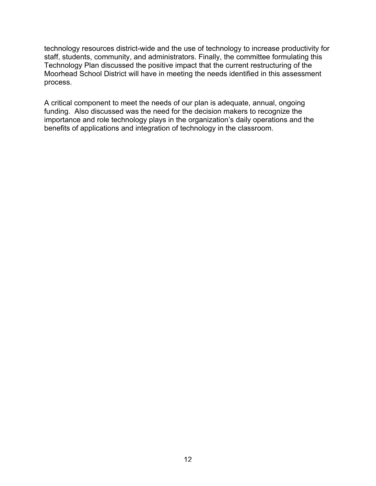technology resources district-wide and the use of technology to increase productivity for staff, students, community, and administrators. Finally, the committee formulating this Technology Plan discussed the positive impact that the current restructuring of the Moorhead School District will have in meeting the needs identified in this assessment process.

A critical component to meet the needs of our plan is adequate, annual, ongoing funding. Also discussed was the need for the decision makers to recognize the importance and role technology plays in the organization's daily operations and the benefits of applications and integration of technology in the classroom.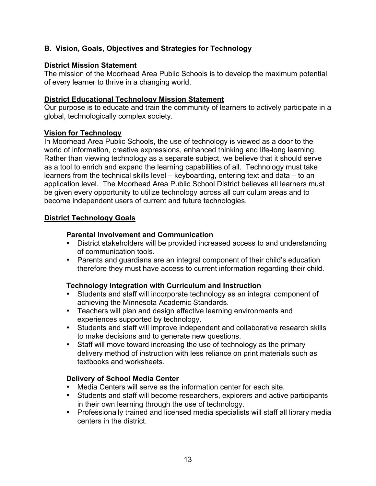## **B**. **Vision, Goals, Objectives and Strategies for Technology**

## **District Mission Statement**

The mission of the Moorhead Area Public Schools is to develop the maximum potential of every learner to thrive in a changing world.

#### **District Educational Technology Mission Statement**

Our purpose is to educate and train the community of learners to actively participate in a global, technologically complex society.

## **Vision for Technology**

In Moorhead Area Public Schools, the use of technology is viewed as a door to the world of information, creative expressions, enhanced thinking and life-long learning. Rather than viewing technology as a separate subject, we believe that it should serve as a tool to enrich and expand the learning capabilities of all. Technology must take learners from the technical skills level – keyboarding, entering text and data – to an application level. The Moorhead Area Public School District believes all learners must be given every opportunity to utilize technology across all curriculum areas and to become independent users of current and future technologies.

## **District Technology Goals**

## **Parental Involvement and Communication**

- District stakeholders will be provided increased access to and understanding of communication tools.
- Parents and guardians are an integral component of their child's education therefore they must have access to current information regarding their child.

## **Technology Integration with Curriculum and Instruction**

- Students and staff will incorporate technology as an integral component of achieving the Minnesota Academic Standards.
- Teachers will plan and design effective learning environments and experiences supported by technology.
- Students and staff will improve independent and collaborative research skills to make decisions and to generate new questions.
- Staff will move toward increasing the use of technology as the primary delivery method of instruction with less reliance on print materials such as textbooks and worksheets.

#### **Delivery of School Media Center**

- Media Centers will serve as the information center for each site.
- Students and staff will become researchers, explorers and active participants in their own learning through the use of technology.
- Professionally trained and licensed media specialists will staff all library media centers in the district.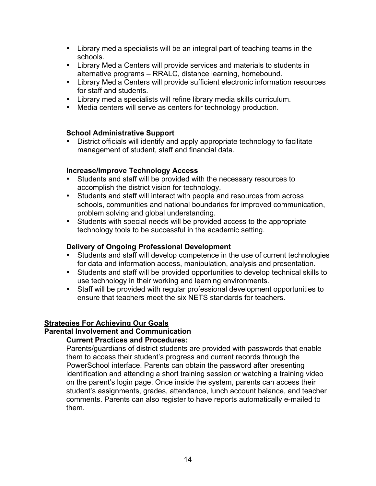- Library media specialists will be an integral part of teaching teams in the schools.
- Library Media Centers will provide services and materials to students in alternative programs – RRALC, distance learning, homebound.
- Library Media Centers will provide sufficient electronic information resources for staff and students.
- Library media specialists will refine library media skills curriculum.
- Media centers will serve as centers for technology production.

## **School Administrative Support**

• District officials will identify and apply appropriate technology to facilitate management of student, staff and financial data.

## **Increase/Improve Technology Access**

- Students and staff will be provided with the necessary resources to accomplish the district vision for technology.
- Students and staff will interact with people and resources from across schools, communities and national boundaries for improved communication, problem solving and global understanding.
- Students with special needs will be provided access to the appropriate technology tools to be successful in the academic setting.

## **Delivery of Ongoing Professional Development**

- Students and staff will develop competence in the use of current technologies for data and information access, manipulation, analysis and presentation.
- Students and staff will be provided opportunities to develop technical skills to use technology in their working and learning environments.
- Staff will be provided with regular professional development opportunities to ensure that teachers meet the six NETS standards for teachers.

## **Strategies For Achieving Our Goals**

## **Parental Involvement and Communication**

#### **Current Practices and Procedures:**

Parents/guardians of district students are provided with passwords that enable them to access their student's progress and current records through the PowerSchool interface. Parents can obtain the password after presenting identification and attending a short training session or watching a training video on the parent's login page. Once inside the system, parents can access their student's assignments, grades, attendance, lunch account balance, and teacher comments. Parents can also register to have reports automatically e-mailed to them.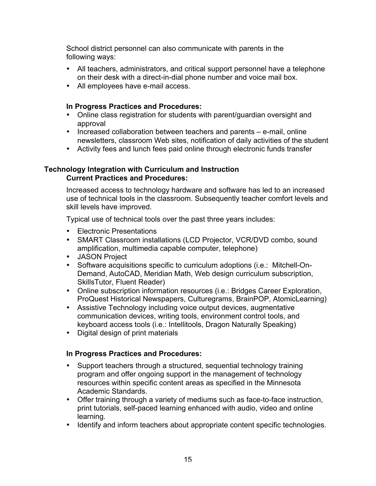School district personnel can also communicate with parents in the following ways:

- All teachers, administrators, and critical support personnel have a telephone on their desk with a direct-in-dial phone number and voice mail box.
- All employees have e-mail access.

#### **In Progress Practices and Procedures:**

- Online class registration for students with parent/guardian oversight and approval
- Increased collaboration between teachers and parents e-mail, online newsletters, classroom Web sites, notification of daily activities of the student
- Activity fees and lunch fees paid online through electronic funds transfer

#### **Technology Integration with Curriculum and Instruction Current Practices and Procedures:**

Increased access to technology hardware and software has led to an increased use of technical tools in the classroom. Subsequently teacher comfort levels and skill levels have improved.

Typical use of technical tools over the past three years includes:

- Electronic Presentations
- SMART Classroom installations (LCD Projector, VCR/DVD combo, sound amplification, multimedia capable computer, telephone)
- JASON Project
- Software acquisitions specific to curriculum adoptions (i.e.: Mitchell-On-Demand, AutoCAD, Meridian Math, Web design curriculum subscription, SkillsTutor, Fluent Reader)
- Online subscription information resources (i.e.: Bridges Career Exploration, ProQuest Historical Newspapers, Culturegrams, BrainPOP, AtomicLearning)
- Assistive Technology including voice output devices, augmentative communication devices, writing tools, environment control tools, and keyboard access tools (i.e.: Intellitools, Dragon Naturally Speaking)
- Digital design of print materials

## **In Progress Practices and Procedures:**

- Support teachers through a structured, sequential technology training program and offer ongoing support in the management of technology resources within specific content areas as specified in the Minnesota Academic Standards.
- Offer training through a variety of mediums such as face-to-face instruction, print tutorials, self-paced learning enhanced with audio, video and online learning.
- Identify and inform teachers about appropriate content specific technologies.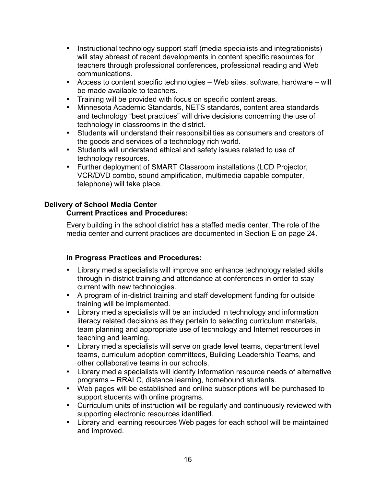- Instructional technology support staff (media specialists and integrationists) will stay abreast of recent developments in content specific resources for teachers through professional conferences, professional reading and Web communications.
- Access to content specific technologies Web sites, software, hardware will be made available to teachers.
- Training will be provided with focus on specific content areas.
- Minnesota Academic Standards, NETS standards, content area standards and technology "best practices" will drive decisions concerning the use of technology in classrooms in the district.
- Students will understand their responsibilities as consumers and creators of the goods and services of a technology rich world.
- Students will understand ethical and safety issues related to use of technology resources.
- Further deployment of SMART Classroom installations (LCD Projector, VCR/DVD combo, sound amplification, multimedia capable computer, telephone) will take place.

## **Delivery of School Media Center**

## **Current Practices and Procedures:**

Every building in the school district has a staffed media center. The role of the media center and current practices are documented in Section E on page 24.

## **In Progress Practices and Procedures:**

- Library media specialists will improve and enhance technology related skills through in-district training and attendance at conferences in order to stay current with new technologies.
- A program of in-district training and staff development funding for outside training will be implemented.
- Library media specialists will be an included in technology and information literacy related decisions as they pertain to selecting curriculum materials, team planning and appropriate use of technology and Internet resources in teaching and learning.
- Library media specialists will serve on grade level teams, department level teams, curriculum adoption committees, Building Leadership Teams, and other collaborative teams in our schools.
- Library media specialists will identify information resource needs of alternative programs – RRALC, distance learning, homebound students.
- Web pages will be established and online subscriptions will be purchased to support students with online programs.
- Curriculum units of instruction will be regularly and continuously reviewed with supporting electronic resources identified.
- Library and learning resources Web pages for each school will be maintained and improved.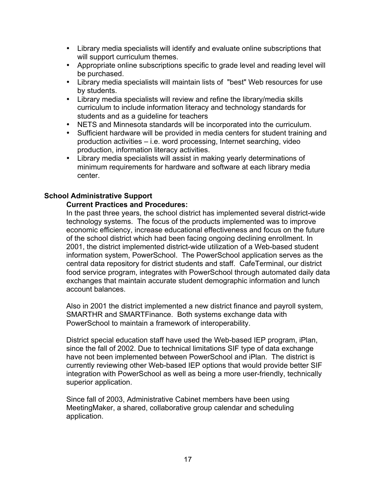- Library media specialists will identify and evaluate online subscriptions that will support curriculum themes.
- Appropriate online subscriptions specific to grade level and reading level will be purchased.
- Library media specialists will maintain lists of "best" Web resources for use by students.
- Library media specialists will review and refine the library/media skills curriculum to include information literacy and technology standards for students and as a guideline for teachers
- NETS and Minnesota standards will be incorporated into the curriculum.
- Sufficient hardware will be provided in media centers for student training and production activities – i.e. word processing, Internet searching, video production, information literacy activities.
- Library media specialists will assist in making yearly determinations of minimum requirements for hardware and software at each library media center.

## **School Administrative Support**

## **Current Practices and Procedures:**

In the past three years, the school district has implemented several district-wide technology systems. The focus of the products implemented was to improve economic efficiency, increase educational effectiveness and focus on the future of the school district which had been facing ongoing declining enrollment. In 2001, the district implemented district-wide utilization of a Web-based student information system, PowerSchool. The PowerSchool application serves as the central data repository for district students and staff. CafeTerminal, our district food service program, integrates with PowerSchool through automated daily data exchanges that maintain accurate student demographic information and lunch account balances.

Also in 2001 the district implemented a new district finance and payroll system, SMARTHR and SMARTFinance. Both systems exchange data with PowerSchool to maintain a framework of interoperability.

District special education staff have used the Web-based IEP program, iPlan, since the fall of 2002. Due to technical limitations SIF type of data exchange have not been implemented between PowerSchool and iPlan. The district is currently reviewing other Web-based IEP options that would provide better SIF integration with PowerSchool as well as being a more user-friendly, technically superior application.

Since fall of 2003, Administrative Cabinet members have been using MeetingMaker, a shared, collaborative group calendar and scheduling application.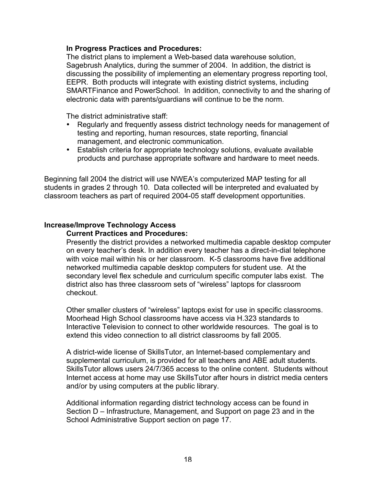#### **In Progress Practices and Procedures:**

The district plans to implement a Web-based data warehouse solution, Sagebrush Analytics, during the summer of 2004. In addition, the district is discussing the possibility of implementing an elementary progress reporting tool, EEPR. Both products will integrate with existing district systems, including SMARTFinance and PowerSchool. In addition, connectivity to and the sharing of electronic data with parents/guardians will continue to be the norm.

The district administrative staff:

- Regularly and frequently assess district technology needs for management of testing and reporting, human resources, state reporting, financial management, and electronic communication.
- Establish criteria for appropriate technology solutions, evaluate available products and purchase appropriate software and hardware to meet needs.

Beginning fall 2004 the district will use NWEA's computerized MAP testing for all students in grades 2 through 10. Data collected will be interpreted and evaluated by classroom teachers as part of required 2004-05 staff development opportunities.

#### **Increase/Improve Technology Access**

#### **Current Practices and Procedures:**

Presently the district provides a networked multimedia capable desktop computer on every teacher's desk. In addition every teacher has a direct-in-dial telephone with voice mail within his or her classroom. K-5 classrooms have five additional networked multimedia capable desktop computers for student use. At the secondary level flex schedule and curriculum specific computer labs exist. The district also has three classroom sets of "wireless" laptops for classroom checkout.

Other smaller clusters of "wireless" laptops exist for use in specific classrooms. Moorhead High School classrooms have access via H.323 standards to Interactive Television to connect to other worldwide resources. The goal is to extend this video connection to all district classrooms by fall 2005.

A district-wide license of SkillsTutor, an Internet-based complementary and supplemental curriculum, is provided for all teachers and ABE adult students. SkillsTutor allows users 24/7/365 access to the online content. Students without Internet access at home may use SkillsTutor after hours in district media centers and/or by using computers at the public library.

Additional information regarding district technology access can be found in Section D – Infrastructure, Management, and Support on page 23 and in the School Administrative Support section on page 17.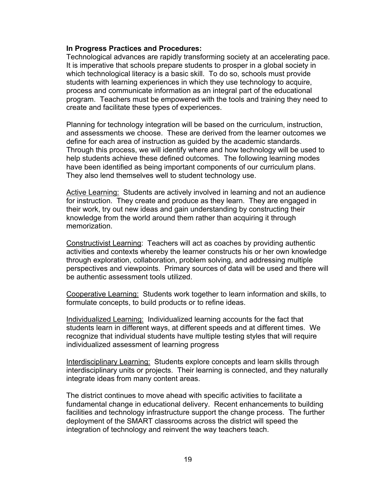#### **In Progress Practices and Procedures:**

Technological advances are rapidly transforming society at an accelerating pace. It is imperative that schools prepare students to prosper in a global society in which technological literacy is a basic skill. To do so, schools must provide students with learning experiences in which they use technology to acquire, process and communicate information as an integral part of the educational program. Teachers must be empowered with the tools and training they need to create and facilitate these types of experiences.

Planning for technology integration will be based on the curriculum, instruction, and assessments we choose. These are derived from the learner outcomes we define for each area of instruction as guided by the academic standards. Through this process, we will identify where and how technology will be used to help students achieve these defined outcomes. The following learning modes have been identified as being important components of our curriculum plans. They also lend themselves well to student technology use.

Active Learning: Students are actively involved in learning and not an audience for instruction. They create and produce as they learn. They are engaged in their work, try out new ideas and gain understanding by constructing their knowledge from the world around them rather than acquiring it through memorization.

Constructivist Learning: Teachers will act as coaches by providing authentic activities and contexts whereby the learner constructs his or her own knowledge through exploration, collaboration, problem solving, and addressing multiple perspectives and viewpoints. Primary sources of data will be used and there will be authentic assessment tools utilized.

Cooperative Learning: Students work together to learn information and skills, to formulate concepts, to build products or to refine ideas.

Individualized Learning: Individualized learning accounts for the fact that students learn in different ways, at different speeds and at different times. We recognize that individual students have multiple testing styles that will require individualized assessment of learning progress

Interdisciplinary Learning: Students explore concepts and learn skills through interdisciplinary units or projects. Their learning is connected, and they naturally integrate ideas from many content areas.

The district continues to move ahead with specific activities to facilitate a fundamental change in educational delivery. Recent enhancements to building facilities and technology infrastructure support the change process. The further deployment of the SMART classrooms across the district will speed the integration of technology and reinvent the way teachers teach.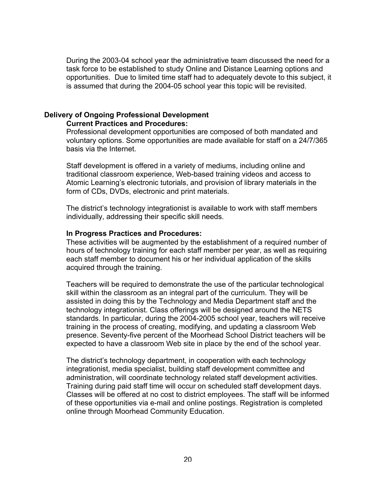During the 2003-04 school year the administrative team discussed the need for a task force to be established to study Online and Distance Learning options and opportunities. Due to limited time staff had to adequately devote to this subject, it is assumed that during the 2004-05 school year this topic will be revisited.

## **Delivery of Ongoing Professional Development**

## **Current Practices and Procedures:**

Professional development opportunities are composed of both mandated and voluntary options. Some opportunities are made available for staff on a 24/7/365 basis via the Internet.

Staff development is offered in a variety of mediums, including online and traditional classroom experience, Web-based training videos and access to Atomic Learning's electronic tutorials, and provision of library materials in the form of CDs, DVDs, electronic and print materials.

The district's technology integrationist is available to work with staff members individually, addressing their specific skill needs.

#### **In Progress Practices and Procedures:**

These activities will be augmented by the establishment of a required number of hours of technology training for each staff member per year, as well as requiring each staff member to document his or her individual application of the skills acquired through the training.

Teachers will be required to demonstrate the use of the particular technological skill within the classroom as an integral part of the curriculum. They will be assisted in doing this by the Technology and Media Department staff and the technology integrationist. Class offerings will be designed around the NETS standards. In particular, during the 2004-2005 school year, teachers will receive training in the process of creating, modifying, and updating a classroom Web presence. Seventy-five percent of the Moorhead School District teachers will be expected to have a classroom Web site in place by the end of the school year.

The district's technology department, in cooperation with each technology integrationist, media specialist, building staff development committee and administration, will coordinate technology related staff development activities. Training during paid staff time will occur on scheduled staff development days. Classes will be offered at no cost to district employees. The staff will be informed of these opportunities via e-mail and online postings. Registration is completed online through Moorhead Community Education.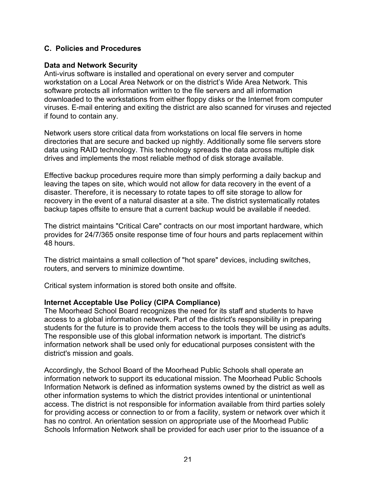## **C. Policies and Procedures**

#### **Data and Network Security**

Anti-virus software is installed and operational on every server and computer workstation on a Local Area Network or on the district's Wide Area Network. This software protects all information written to the file servers and all information downloaded to the workstations from either floppy disks or the Internet from computer viruses. E-mail entering and exiting the district are also scanned for viruses and rejected if found to contain any.

Network users store critical data from workstations on local file servers in home directories that are secure and backed up nightly. Additionally some file servers store data using RAID technology. This technology spreads the data across multiple disk drives and implements the most reliable method of disk storage available.

Effective backup procedures require more than simply performing a daily backup and leaving the tapes on site, which would not allow for data recovery in the event of a disaster. Therefore, it is necessary to rotate tapes to off site storage to allow for recovery in the event of a natural disaster at a site. The district systematically rotates backup tapes offsite to ensure that a current backup would be available if needed.

The district maintains "Critical Care" contracts on our most important hardware, which provides for 24/7/365 onsite response time of four hours and parts replacement within 48 hours.

The district maintains a small collection of "hot spare" devices, including switches, routers, and servers to minimize downtime.

Critical system information is stored both onsite and offsite.

#### **Internet Acceptable Use Policy (CIPA Compliance)**

The Moorhead School Board recognizes the need for its staff and students to have access to a global information network. Part of the district's responsibility in preparing students for the future is to provide them access to the tools they will be using as adults. The responsible use of this global information network is important. The district's information network shall be used only for educational purposes consistent with the district's mission and goals.

Accordingly, the School Board of the Moorhead Public Schools shall operate an information network to support its educational mission. The Moorhead Public Schools Information Network is defined as information systems owned by the district as well as other information systems to which the district provides intentional or unintentional access. The district is not responsible for information available from third parties solely for providing access or connection to or from a facility, system or network over which it has no control. An orientation session on appropriate use of the Moorhead Public Schools Information Network shall be provided for each user prior to the issuance of a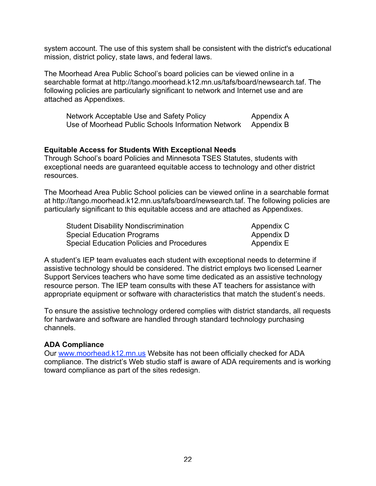system account. The use of this system shall be consistent with the district's educational mission, district policy, state laws, and federal laws.

The Moorhead Area Public School's board policies can be viewed online in a searchable format at http://tango.moorhead.k12.mn.us/tafs/board/newsearch.taf. The following policies are particularly significant to network and Internet use and are attached as Appendixes.

| Network Acceptable Use and Safety Policy           | Appendix A |
|----------------------------------------------------|------------|
| Use of Moorhead Public Schools Information Network | Appendix B |

#### **Equitable Access for Students With Exceptional Needs**

Through School's board Policies and Minnesota TSES Statutes, students with exceptional needs are guaranteed equitable access to technology and other district resources.

The Moorhead Area Public School policies can be viewed online in a searchable format at http://tango.moorhead.k12.mn.us/tafs/board/newsearch.taf. The following policies are particularly significant to this equitable access and are attached as Appendixes.

| <b>Student Disability Nondiscrimination</b> | Appendix C |
|---------------------------------------------|------------|
| Special Education Programs                  | Appendix D |
| Special Education Policies and Procedures   | Appendix E |

A student's IEP team evaluates each student with exceptional needs to determine if assistive technology should be considered. The district employs two licensed Learner Support Services teachers who have some time dedicated as an assistive technology resource person. The IEP team consults with these AT teachers for assistance with appropriate equipment or software with characteristics that match the student's needs.

To ensure the assistive technology ordered complies with district standards, all requests for hardware and software are handled through standard technology purchasing channels.

#### **ADA Compliance**

Our www.moorhead.k12.mn.us Website has not been officially checked for ADA compliance. The district's Web studio staff is aware of ADA requirements and is working toward compliance as part of the sites redesign.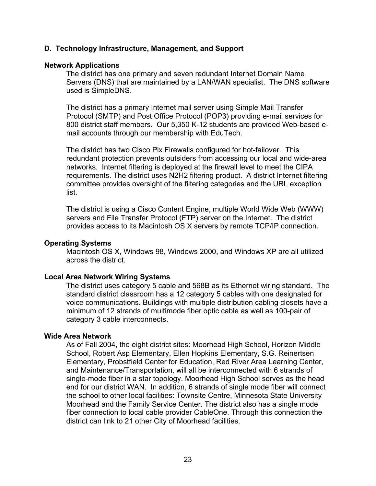#### **D. Technology Infrastructure, Management, and Support**

#### **Network Applications**

The district has one primary and seven redundant Internet Domain Name Servers (DNS) that are maintained by a LAN/WAN specialist. The DNS software used is SimpleDNS.

The district has a primary Internet mail server using Simple Mail Transfer Protocol (SMTP) and Post Office Protocol (POP3) providing e-mail services for 800 district staff members. Our 5,350 K-12 students are provided Web-based email accounts through our membership with EduTech.

The district has two Cisco Pix Firewalls configured for hot-failover. This redundant protection prevents outsiders from accessing our local and wide-area networks. Internet filtering is deployed at the firewall level to meet the CIPA requirements. The district uses N2H2 filtering product. A district Internet filtering committee provides oversight of the filtering categories and the URL exception list.

The district is using a Cisco Content Engine, multiple World Wide Web (WWW) servers and File Transfer Protocol (FTP) server on the Internet. The district provides access to its Macintosh OS X servers by remote TCP/IP connection.

#### **Operating Systems**

Macintosh OS X, Windows 98, Windows 2000, and Windows XP are all utilized across the district.

#### **Local Area Network Wiring Systems**

The district uses category 5 cable and 568B as its Ethernet wiring standard. The standard district classroom has a 12 category 5 cables with one designated for voice communications. Buildings with multiple distribution cabling closets have a minimum of 12 strands of multimode fiber optic cable as well as 100-pair of category 3 cable interconnects.

#### **Wide Area Network**

As of Fall 2004, the eight district sites: Moorhead High School, Horizon Middle School, Robert Asp Elementary, Ellen Hopkins Elementary, S.G. Reinertsen Elementary, Probstfield Center for Education, Red River Area Learning Center, and Maintenance/Transportation, will all be interconnected with 6 strands of single-mode fiber in a star topology. Moorhead High School serves as the head end for our district WAN. In addition, 6 strands of single mode fiber will connect the school to other local facilities: Townsite Centre, Minnesota State University Moorhead and the Family Service Center. The district also has a single mode fiber connection to local cable provider CableOne. Through this connection the district can link to 21 other City of Moorhead facilities.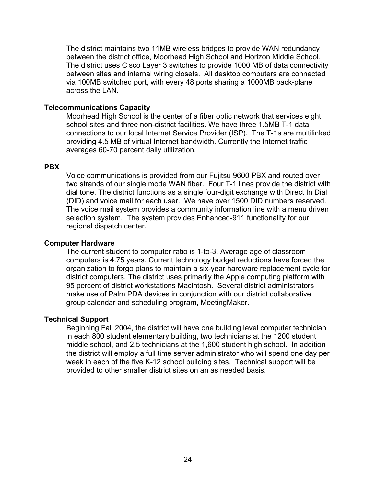The district maintains two 11MB wireless bridges to provide WAN redundancy between the district office, Moorhead High School and Horizon Middle School. The district uses Cisco Layer 3 switches to provide 1000 MB of data connectivity between sites and internal wiring closets. All desktop computers are connected via 100MB switched port, with every 48 ports sharing a 1000MB back-plane across the LAN.

#### **Telecommunications Capacity**

Moorhead High School is the center of a fiber optic network that services eight school sites and three non-district facilities. We have three 1.5MB T-1 data connections to our local Internet Service Provider (ISP). The T-1s are multilinked providing 4.5 MB of virtual Internet bandwidth. Currently the Internet traffic averages 60-70 percent daily utilization.

#### **PBX**

Voice communications is provided from our Fujitsu 9600 PBX and routed over two strands of our single mode WAN fiber. Four T-1 lines provide the district with dial tone. The district functions as a single four-digit exchange with Direct In Dial (DID) and voice mail for each user. We have over 1500 DID numbers reserved. The voice mail system provides a community information line with a menu driven selection system. The system provides Enhanced-911 functionality for our regional dispatch center.

#### **Computer Hardware**

The current student to computer ratio is 1-to-3. Average age of classroom computers is 4.75 years. Current technology budget reductions have forced the organization to forgo plans to maintain a six-year hardware replacement cycle for district computers. The district uses primarily the Apple computing platform with 95 percent of district workstations Macintosh. Several district administrators make use of Palm PDA devices in conjunction with our district collaborative group calendar and scheduling program, MeetingMaker.

#### **Technical Support**

Beginning Fall 2004, the district will have one building level computer technician in each 800 student elementary building, two technicians at the 1200 student middle school, and 2.5 technicians at the 1,600 student high school. In addition the district will employ a full time server administrator who will spend one day per week in each of the five K-12 school building sites. Technical support will be provided to other smaller district sites on an as needed basis.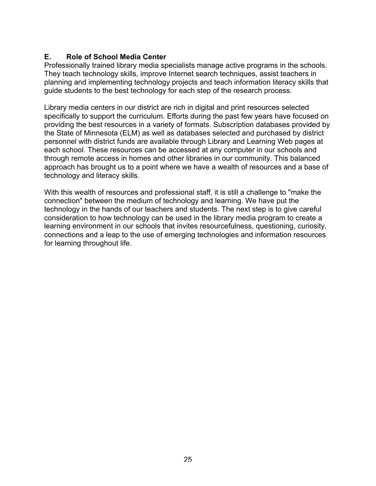## **E. Role of School Media Center**

Professionally trained library media specialists manage active programs in the schools. They teach technology skills, improve Internet search techniques, assist teachers in planning and implementing technology projects and teach information literacy skills that guide students to the best technology for each step of the research process.

Library media centers in our district are rich in digital and print resources selected specifically to support the curriculum. Efforts during the past few years have focused on providing the best resources in a variety of formats. Subscription databases provided by the State of Minnesota (ELM) as well as databases selected and purchased by district personnel with district funds are available through Library and Learning Web pages at each school. These resources can be accessed at any computer in our schools and through remote access in homes and other libraries in our community. This balanced approach has brought us to a point where we have a wealth of resources and a base of technology and literacy skills.

With this wealth of resources and professional staff, it is still a challenge to "make the connection" between the medium of technology and learning. We have put the technology in the hands of our teachers and students. The next step is to give careful consideration to how technology can be used in the library media program to create a learning environment in our schools that invites resourcefulness, questioning, curiosity, connections and a leap to the use of emerging technologies and information resources for learning throughout life.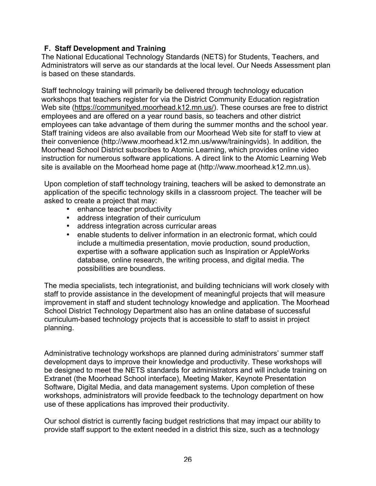## **F. Staff Development and Training**

The National Educational Technology Standards (NETS) for Students, Teachers, and Administrators will serve as our standards at the local level. Our Needs Assessment plan is based on these standards.

Staff technology training will primarily be delivered through technology education workshops that teachers register for via the District Community Education registration Web site (https://communityed.moorhead.k12.mn.us/). These courses are free to district employees and are offered on a year round basis, so teachers and other district employees can take advantage of them during the summer months and the school year. Staff training videos are also available from our Moorhead Web site for staff to view at their convenience (http://www.moorhead.k12.mn.us/www/trainingvids). In addition, the Moorhead School District subscribes to Atomic Learning, which provides online video instruction for numerous software applications. A direct link to the Atomic Learning Web site is available on the Moorhead home page at (http://www.moorhead.k12.mn.us).

Upon completion of staff technology training, teachers will be asked to demonstrate an application of the specific technology skills in a classroom project. The teacher will be asked to create a project that may:

- enhance teacher productivity
- address integration of their curriculum
- address integration across curricular areas
- enable students to deliver information in an electronic format, which could include a multimedia presentation, movie production, sound production, expertise with a software application such as Inspiration or AppleWorks database, online research, the writing process, and digital media. The possibilities are boundless.

The media specialists, tech integrationist, and building technicians will work closely with staff to provide assistance in the development of meaningful projects that will measure improvement in staff and student technology knowledge and application. The Moorhead School District Technology Department also has an online database of successful curriculum-based technology projects that is accessible to staff to assist in project planning.

Administrative technology workshops are planned during administrators' summer staff development days to improve their knowledge and productivity. These workshops will be designed to meet the NETS standards for administrators and will include training on Extranet (the Moorhead School interface), Meeting Maker, Keynote Presentation Software, Digital Media, and data management systems. Upon completion of these workshops, administrators will provide feedback to the technology department on how use of these applications has improved their productivity.

Our school district is currently facing budget restrictions that may impact our ability to provide staff support to the extent needed in a district this size, such as a technology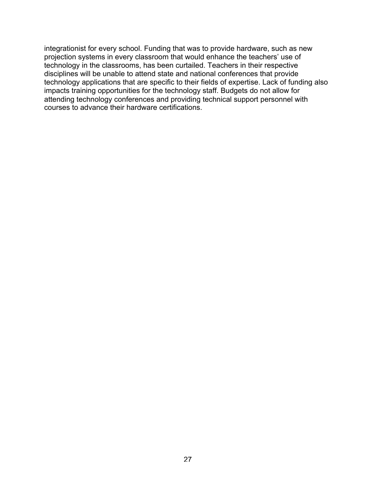integrationist for every school. Funding that was to provide hardware, such as new projection systems in every classroom that would enhance the teachers' use of technology in the classrooms, has been curtailed. Teachers in their respective disciplines will be unable to attend state and national conferences that provide technology applications that are specific to their fields of expertise. Lack of funding also impacts training opportunities for the technology staff. Budgets do not allow for attending technology conferences and providing technical support personnel with courses to advance their hardware certifications.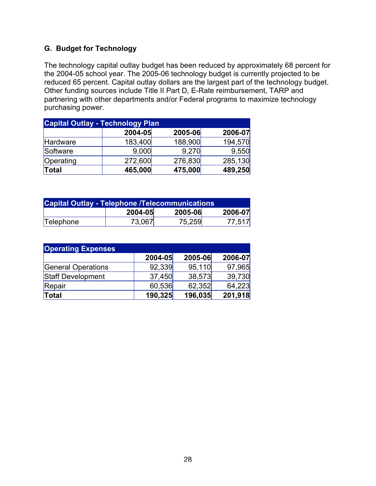## **G. Budget for Technology**

The technology capital outlay budget has been reduced by approximately 68 percent for the 2004-05 school year. The 2005-06 technology budget is currently projected to be reduced 65 percent. Capital outlay dollars are the largest part of the technology budget. Other funding sources include Title II Part D, E-Rate reimbursement, TARP and partnering with other departments and/or Federal programs to maximize technology purchasing power.

| <b>Capital Outlay - Technology Plan</b> |         |         |         |  |
|-----------------------------------------|---------|---------|---------|--|
|                                         | 2004-05 | 2005-06 | 2006-07 |  |
| Hardware                                | 183,400 | 188,900 | 194,570 |  |
| Software                                | 9,000   | 9,270   | 9,550   |  |
| Operating                               | 272,600 | 276,830 | 285,130 |  |
| Total                                   | 465,000 | 475,000 | 489,250 |  |

| <b>Capital Outlay - Telephone /Telecommunications</b> |         |         |         |
|-------------------------------------------------------|---------|---------|---------|
|                                                       | 2004-05 | 2005-06 | 2006-07 |
| Telephone                                             | 73,067  | 75,259  | 77,517  |

| <b>Operating Expenses</b> |         |         |         |  |
|---------------------------|---------|---------|---------|--|
|                           | 2004-05 | 2005-06 | 2006-07 |  |
| General Operations        | 92,339  | 95,110  | 97,965  |  |
| Staff Development         | 37,450  | 38,573  | 39,730  |  |
| Repair                    | 60,536  | 62,352  | 64,223  |  |
| Total                     | 190,325 | 196,035 | 201,918 |  |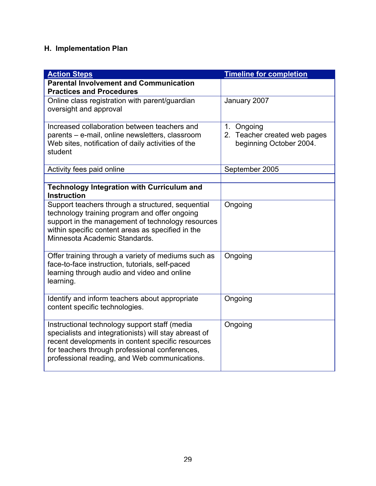## **H. Implementation Plan**

| <b>Action Steps</b>                                                                                                                                                                                                                                            | <b>Timeline for completion</b>                                        |
|----------------------------------------------------------------------------------------------------------------------------------------------------------------------------------------------------------------------------------------------------------------|-----------------------------------------------------------------------|
| <b>Parental Involvement and Communication</b>                                                                                                                                                                                                                  |                                                                       |
| <b>Practices and Procedures</b>                                                                                                                                                                                                                                |                                                                       |
| Online class registration with parent/guardian<br>oversight and approval                                                                                                                                                                                       | January 2007                                                          |
| Increased collaboration between teachers and<br>parents - e-mail, online newsletters, classroom<br>Web sites, notification of daily activities of the<br>student                                                                                               | 1. Ongoing<br>2. Teacher created web pages<br>beginning October 2004. |
| Activity fees paid online                                                                                                                                                                                                                                      | September 2005                                                        |
| <b>Technology Integration with Curriculum and</b><br><b>Instruction</b>                                                                                                                                                                                        |                                                                       |
| Support teachers through a structured, sequential<br>technology training program and offer ongoing<br>support in the management of technology resources<br>within specific content areas as specified in the<br>Minnesota Academic Standards.                  | Ongoing                                                               |
| Offer training through a variety of mediums such as<br>face-to-face instruction, tutorials, self-paced<br>learning through audio and video and online<br>learning.                                                                                             | Ongoing                                                               |
| Identify and inform teachers about appropriate<br>content specific technologies.                                                                                                                                                                               | Ongoing                                                               |
| Instructional technology support staff (media<br>specialists and integrationists) will stay abreast of<br>recent developments in content specific resources<br>for teachers through professional conferences,<br>professional reading, and Web communications. | Ongoing                                                               |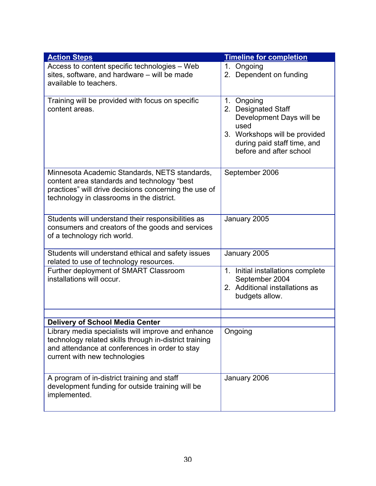| <b>Action Steps</b>                                                                                                                                                                                | <b>Timeline for completion</b>                                                                                                                                   |
|----------------------------------------------------------------------------------------------------------------------------------------------------------------------------------------------------|------------------------------------------------------------------------------------------------------------------------------------------------------------------|
| Access to content specific technologies - Web<br>sites, software, and hardware - will be made<br>available to teachers.                                                                            | $1_{-}$<br>Ongoing<br>2. Dependent on funding                                                                                                                    |
| Training will be provided with focus on specific<br>content areas.                                                                                                                                 | 1. Ongoing<br>2. Designated Staff<br>Development Days will be<br>used<br>3. Workshops will be provided<br>during paid staff time, and<br>before and after school |
| Minnesota Academic Standards, NETS standards,<br>content area standards and technology "best<br>practices" will drive decisions concerning the use of<br>technology in classrooms in the district. | September 2006                                                                                                                                                   |
| Students will understand their responsibilities as<br>consumers and creators of the goods and services<br>of a technology rich world.                                                              | January 2005                                                                                                                                                     |
| Students will understand ethical and safety issues<br>related to use of technology resources.                                                                                                      | January 2005                                                                                                                                                     |
| Further deployment of SMART Classroom<br>installations will occur.                                                                                                                                 | 1. Initial installations complete<br>September 2004<br>2. Additional installations as<br>budgets allow.                                                          |
| <b>Delivery of School Media Center</b>                                                                                                                                                             |                                                                                                                                                                  |
| Library media specialists will improve and enhance<br>technology related skills through in-district training<br>and attendance at conferences in order to stay<br>current with new technologies    | Ongoing                                                                                                                                                          |
| A program of in-district training and staff<br>development funding for outside training will be<br>implemented.                                                                                    | January 2006                                                                                                                                                     |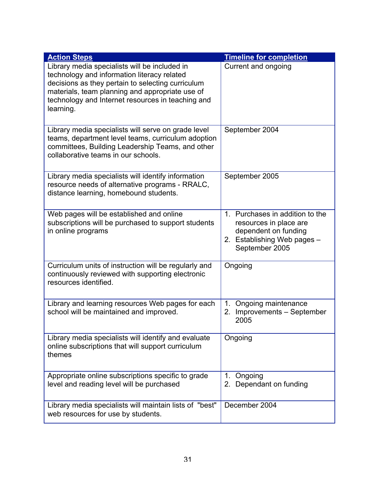| <b>Action Steps</b>                                                                                                                                                                                                                                                    | <b>Timeline for completion</b>                                                                                                     |
|------------------------------------------------------------------------------------------------------------------------------------------------------------------------------------------------------------------------------------------------------------------------|------------------------------------------------------------------------------------------------------------------------------------|
| Library media specialists will be included in<br>technology and information literacy related<br>decisions as they pertain to selecting curriculum<br>materials, team planning and appropriate use of<br>technology and Internet resources in teaching and<br>learning. | Current and ongoing                                                                                                                |
| Library media specialists will serve on grade level<br>teams, department level teams, curriculum adoption<br>committees, Building Leadership Teams, and other<br>collaborative teams in our schools.                                                                   | September 2004                                                                                                                     |
| Library media specialists will identify information<br>resource needs of alternative programs - RRALC,<br>distance learning, homebound students.                                                                                                                       | September 2005                                                                                                                     |
| Web pages will be established and online<br>subscriptions will be purchased to support students<br>in online programs                                                                                                                                                  | 1. Purchases in addition to the<br>resources in place are<br>dependent on funding<br>2. Establishing Web pages -<br>September 2005 |
| Curriculum units of instruction will be regularly and<br>continuously reviewed with supporting electronic<br>resources identified.                                                                                                                                     | Ongoing                                                                                                                            |
| Library and learning resources Web pages for each<br>school will be maintained and improved.                                                                                                                                                                           | Ongoing maintenance<br>$1_{-}$<br>2. Improvements - September<br>2005                                                              |
| Library media specialists will identify and evaluate<br>online subscriptions that will support curriculum<br>themes                                                                                                                                                    | Ongoing                                                                                                                            |
| Appropriate online subscriptions specific to grade<br>level and reading level will be purchased                                                                                                                                                                        | 1. Ongoing<br>2. Dependant on funding                                                                                              |
| Library media specialists will maintain lists of "best"<br>web resources for use by students.                                                                                                                                                                          | December 2004                                                                                                                      |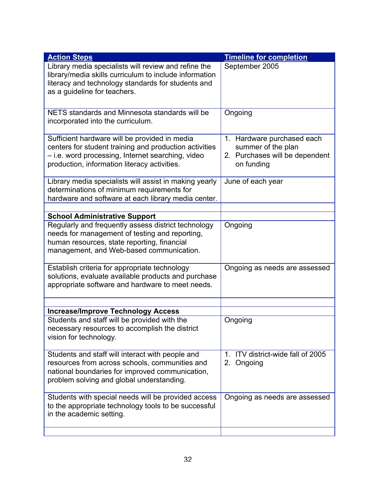| <b>Action Steps</b>                                                                                                                                                                                                                      | <b>Timeline for completion</b>                                                                   |
|------------------------------------------------------------------------------------------------------------------------------------------------------------------------------------------------------------------------------------------|--------------------------------------------------------------------------------------------------|
| Library media specialists will review and refine the<br>library/media skills curriculum to include information<br>literacy and technology standards for students and<br>as a guideline for teachers.                                     | September 2005                                                                                   |
| NETS standards and Minnesota standards will be<br>incorporated into the curriculum.                                                                                                                                                      | Ongoing                                                                                          |
| Sufficient hardware will be provided in media<br>centers for student training and production activities<br>- i.e. word processing, Internet searching, video<br>production, information literacy activities.                             | 1. Hardware purchased each<br>summer of the plan<br>2. Purchases will be dependent<br>on funding |
| Library media specialists will assist in making yearly<br>determinations of minimum requirements for<br>hardware and software at each library media center.                                                                              | June of each year                                                                                |
|                                                                                                                                                                                                                                          |                                                                                                  |
| <b>School Administrative Support</b><br>Regularly and frequently assess district technology<br>needs for management of testing and reporting,<br>human resources, state reporting, financial<br>management, and Web-based communication. | Ongoing                                                                                          |
| Establish criteria for appropriate technology<br>solutions, evaluate available products and purchase<br>appropriate software and hardware to meet needs.                                                                                 | Ongoing as needs are assessed                                                                    |
|                                                                                                                                                                                                                                          |                                                                                                  |
| <b>Increase/Improve Technology Access</b><br>Students and staff will be provided with the<br>necessary resources to accomplish the district<br>vision for technology.                                                                    | Ongoing                                                                                          |
| Students and staff will interact with people and<br>resources from across schools, communities and<br>national boundaries for improved communication,<br>problem solving and global understanding.                                       | 1. ITV district-wide fall of 2005<br>2. Ongoing                                                  |
| Students with special needs will be provided access<br>to the appropriate technology tools to be successful<br>in the academic setting.                                                                                                  | Ongoing as needs are assessed                                                                    |
|                                                                                                                                                                                                                                          |                                                                                                  |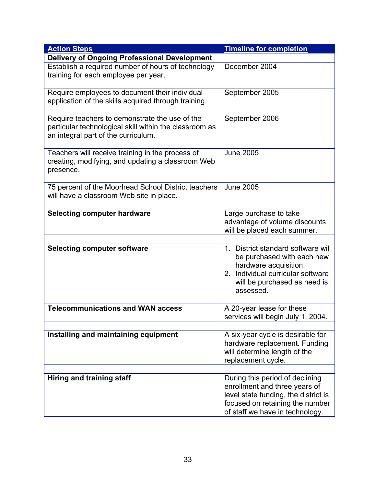| <b>Action Steps</b>                                                                                                                             | <b>Timeline for completion</b>                                                                                                                                                 |
|-------------------------------------------------------------------------------------------------------------------------------------------------|--------------------------------------------------------------------------------------------------------------------------------------------------------------------------------|
| <b>Delivery of Ongoing Professional Development</b>                                                                                             |                                                                                                                                                                                |
| Establish a required number of hours of technology<br>training for each employee per year.                                                      | December 2004                                                                                                                                                                  |
| Require employees to document their individual<br>application of the skills acquired through training.                                          | September 2005                                                                                                                                                                 |
| Require teachers to demonstrate the use of the<br>particular technological skill within the classroom as<br>an integral part of the curriculum. | September 2006                                                                                                                                                                 |
| Teachers will receive training in the process of<br>creating, modifying, and updating a classroom Web<br>presence.                              | <b>June 2005</b>                                                                                                                                                               |
| 75 percent of the Moorhead School District teachers<br>will have a classroom Web site in place.                                                 | <b>June 2005</b>                                                                                                                                                               |
|                                                                                                                                                 |                                                                                                                                                                                |
| <b>Selecting computer hardware</b>                                                                                                              | Large purchase to take<br>advantage of volume discounts<br>will be placed each summer.                                                                                         |
|                                                                                                                                                 |                                                                                                                                                                                |
| <b>Selecting computer software</b>                                                                                                              | 1. District standard software will<br>be purchased with each new<br>hardware acquisition.<br>2. Individual curricular software<br>will be purchased as need is<br>assessed.    |
| <b>Telecommunications and WAN access</b>                                                                                                        |                                                                                                                                                                                |
|                                                                                                                                                 | A 20-year lease for these<br>services will begin July 1, 2004.                                                                                                                 |
| Installing and maintaining equipment                                                                                                            | A six-year cycle is desirable for<br>hardware replacement. Funding<br>will determine length of the<br>replacement cycle.                                                       |
|                                                                                                                                                 |                                                                                                                                                                                |
| Hiring and training staff                                                                                                                       | During this period of declining<br>enrollment and three years of<br>level state funding, the district is<br>focused on retaining the number<br>of staff we have in technology. |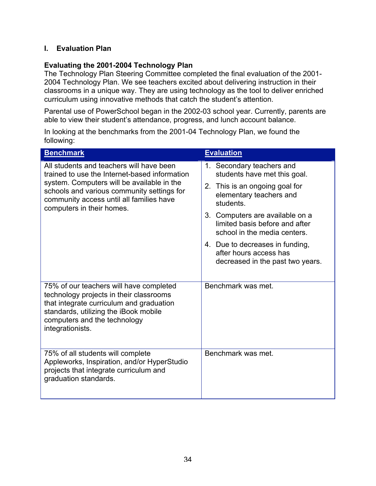## **I. Evaluation Plan**

## **Evaluating the 2001-2004 Technology Plan**

The Technology Plan Steering Committee completed the final evaluation of the 2001- 2004 Technology Plan. We see teachers excited about delivering instruction in their classrooms in a unique way. They are using technology as the tool to deliver enriched curriculum using innovative methods that catch the student's attention.

Parental use of PowerSchool began in the 2002-03 school year. Currently, parents are able to view their student's attendance, progress, and lunch account balance.

In looking at the benchmarks from the 2001-04 Technology Plan, we found the following:

| <b>Benchmark</b>                                                                                                                                                                                                                                               | <b>Evaluation</b>                                                                                                                                                                                                                                                                                                                         |
|----------------------------------------------------------------------------------------------------------------------------------------------------------------------------------------------------------------------------------------------------------------|-------------------------------------------------------------------------------------------------------------------------------------------------------------------------------------------------------------------------------------------------------------------------------------------------------------------------------------------|
| All students and teachers will have been<br>trained to use the Internet-based information<br>system. Computers will be available in the<br>schools and various community settings for<br>community access until all families have<br>computers in their homes. | 1. Secondary teachers and<br>students have met this goal.<br>2. This is an ongoing goal for<br>elementary teachers and<br>students.<br>3. Computers are available on a<br>limited basis before and after<br>school in the media centers.<br>4. Due to decreases in funding,<br>after hours access has<br>decreased in the past two years. |
| 75% of our teachers will have completed<br>technology projects in their classrooms<br>that integrate curriculum and graduation<br>standards, utilizing the iBook mobile<br>computers and the technology<br>integrationists.                                    | Benchmark was met.                                                                                                                                                                                                                                                                                                                        |
| 75% of all students will complete<br>Appleworks, Inspiration, and/or HyperStudio<br>projects that integrate curriculum and<br>graduation standards.                                                                                                            | Benchmark was met.                                                                                                                                                                                                                                                                                                                        |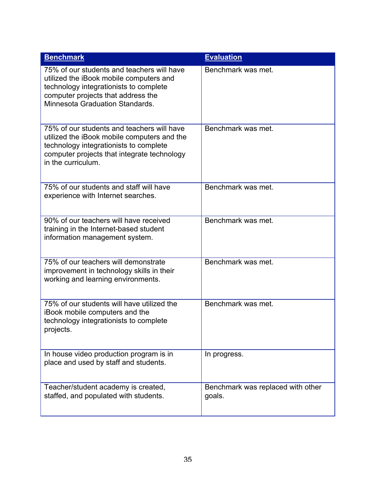| <b>Benchmark</b>                                                                                                                                                                                         | <b>Evaluation</b>                           |
|----------------------------------------------------------------------------------------------------------------------------------------------------------------------------------------------------------|---------------------------------------------|
| 75% of our students and teachers will have<br>utilized the iBook mobile computers and<br>technology integrationists to complete<br>computer projects that address the<br>Minnesota Graduation Standards. | Benchmark was met.                          |
| 75% of our students and teachers will have<br>utilized the iBook mobile computers and the<br>technology integrationists to complete<br>computer projects that integrate technology<br>in the curriculum. | Benchmark was met.                          |
| 75% of our students and staff will have<br>experience with Internet searches.                                                                                                                            | Benchmark was met.                          |
| 90% of our teachers will have received<br>training in the Internet-based student<br>information management system.                                                                                       | Benchmark was met.                          |
| 75% of our teachers will demonstrate<br>improvement in technology skills in their<br>working and learning environments.                                                                                  | Benchmark was met.                          |
| 75% of our students will have utilized the<br>iBook mobile computers and the<br>technology integrationists to complete<br>projects.                                                                      | Benchmark was met.                          |
| In house video production program is in<br>place and used by staff and students.                                                                                                                         | In progress.                                |
| Teacher/student academy is created,<br>staffed, and populated with students.                                                                                                                             | Benchmark was replaced with other<br>goals. |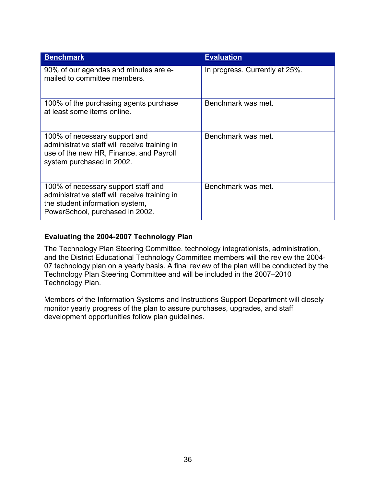| <b>Benchmark</b>                                                                                                                                           | <b>Evaluation</b>              |
|------------------------------------------------------------------------------------------------------------------------------------------------------------|--------------------------------|
| 90% of our agendas and minutes are e-<br>mailed to committee members.                                                                                      | In progress. Currently at 25%. |
| 100% of the purchasing agents purchase<br>at least some items online.                                                                                      | Benchmark was met.             |
| 100% of necessary support and<br>administrative staff will receive training in<br>use of the new HR, Finance, and Payroll<br>system purchased in 2002.     | Benchmark was met.             |
| 100% of necessary support staff and<br>administrative staff will receive training in<br>the student information system,<br>PowerSchool, purchased in 2002. | Benchmark was met.             |

## **Evaluating the 2004-2007 Technology Plan**

The Technology Plan Steering Committee, technology integrationists, administration, and the District Educational Technology Committee members will the review the 2004- 07 technology plan on a yearly basis. A final review of the plan will be conducted by the Technology Plan Steering Committee and will be included in the 2007–2010 Technology Plan.

Members of the Information Systems and Instructions Support Department will closely monitor yearly progress of the plan to assure purchases, upgrades, and staff development opportunities follow plan guidelines.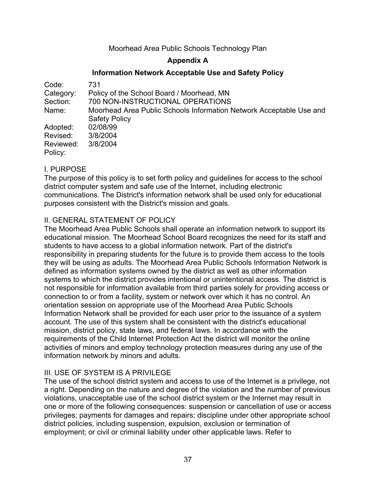## Moorhead Area Public Schools Technology Plan

## **Appendix A**

#### **Information Network Acceptable Use and Safety Policy**

| Code:     | 731                                                                 |
|-----------|---------------------------------------------------------------------|
| Category: | Policy of the School Board / Moorhead, MN                           |
| Section:  | 700 NON-INSTRUCTIONAL OPERATIONS                                    |
| Name:     | Moorhead Area Public Schools Information Network Acceptable Use and |
|           | <b>Safety Policy</b>                                                |
| Adopted:  | 02/08/99                                                            |
| Revised:  | 3/8/2004                                                            |
| Reviewed: | 3/8/2004                                                            |
| Policy:   |                                                                     |

## I. PURPOSE

The purpose of this policy is to set forth policy and guidelines for access to the school district computer system and safe use of the Internet, including electronic communications. The District's information network shall be used only for educational purposes consistent with the District's mission and goals.

## II. GENERAL STATEMENT OF POLICY

The Moorhead Area Public Schools shall operate an information network to support its educational mission. The Moorhead School Board recognizes the need for its staff and students to have access to a global information network. Part of the district's responsibility in preparing students for the future is to provide them access to the tools they will be using as adults. The Moorhead Area Public Schools Information Network is defined as information systems owned by the district as well as other information systems to which the district provides intentional or unintentional access. The district is not responsible for information available from third parties solely for providing access or connection to or from a facility, system or network over which it has no control. An orientation session on appropriate use of the Moorhead Area Public Schools Information Network shall be provided for each user prior to the issuance of a system account. The use of this system shall be consistent with the district's educational mission, district policy, state laws, and federal laws. In accordance with the requirements of the Child Internet Protection Act the district will monitor the online activities of minors and employ technology protection measures during any use of the information network by minors and adults.

#### III. USE OF SYSTEM IS A PRIVILEGE

The use of the school district system and access to use of the Internet is a privilege, not a right. Depending on the nature and degree of the violation and the number of previous violations, unacceptable use of the school district system or the Internet may result in one or more of the following consequences: suspension or cancellation of use or access privileges; payments for damages and repairs; discipline under other appropriate school district policies, including suspension, expulsion, exclusion or termination of employment; or civil or criminal liability under other applicable laws. Refer to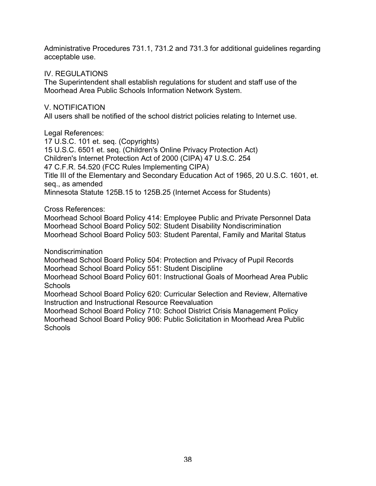Administrative Procedures 731.1, 731.2 and 731.3 for additional guidelines regarding acceptable use.

#### IV. REGULATIONS

The Superintendent shall establish regulations for student and staff use of the Moorhead Area Public Schools Information Network System.

## V. NOTIFICATION

All users shall be notified of the school district policies relating to Internet use.

Legal References:

17 U.S.C. 101 et. seq. (Copyrights) 15 U.S.C. 6501 et. seq. (Children's Online Privacy Protection Act) Children's Internet Protection Act of 2000 (CIPA) 47 U.S.C. 254 47 C.F.R. 54.520 (FCC Rules Implementing CIPA) Title III of the Elementary and Secondary Education Act of 1965, 20 U.S.C. 1601, et. seq., as amended Minnesota Statute 125B.15 to 125B.25 (Internet Access for Students)

## Cross References:

Moorhead School Board Policy 414: Employee Public and Private Personnel Data Moorhead School Board Policy 502: Student Disability Nondiscrimination Moorhead School Board Policy 503: Student Parental, Family and Marital Status

Nondiscrimination

Moorhead School Board Policy 504: Protection and Privacy of Pupil Records Moorhead School Board Policy 551: Student Discipline

Moorhead School Board Policy 601: Instructional Goals of Moorhead Area Public Schools

Moorhead School Board Policy 620: Curricular Selection and Review, Alternative Instruction and Instructional Resource Reevaluation

Moorhead School Board Policy 710: School District Crisis Management Policy Moorhead School Board Policy 906: Public Solicitation in Moorhead Area Public **Schools**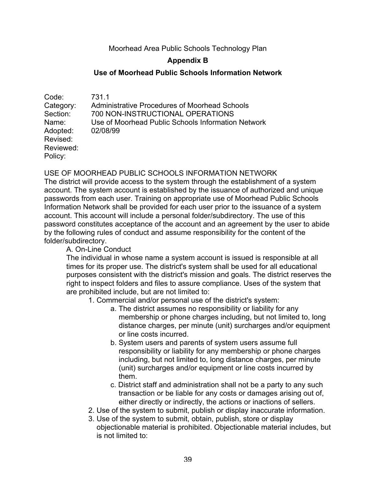## Moorhead Area Public Schools Technology Plan

## **Appendix B**

#### **Use of Moorhead Public Schools Information Network**

| Code:     | 731.1                                                |
|-----------|------------------------------------------------------|
| Category: | <b>Administrative Procedures of Moorhead Schools</b> |
| Section:  | 700 NON-INSTRUCTIONAL OPERATIONS                     |
| Name:     | Use of Moorhead Public Schools Information Network   |
| Adopted:  | 02/08/99                                             |
| Revised:  |                                                      |
| Reviewed: |                                                      |
| Policy:   |                                                      |

USE OF MOORHEAD PUBLIC SCHOOLS INFORMATION NETWORK

The district will provide access to the system through the establishment of a system account. The system account is established by the issuance of authorized and unique passwords from each user. Training on appropriate use of Moorhead Public Schools Information Network shall be provided for each user prior to the issuance of a system account. This account will include a personal folder/subdirectory. The use of this password constitutes acceptance of the account and an agreement by the user to abide by the following rules of conduct and assume responsibility for the content of the folder/subdirectory.

#### A. On-Line Conduct

The individual in whose name a system account is issued is responsible at all times for its proper use. The district's system shall be used for all educational purposes consistent with the district's mission and goals. The district reserves the right to inspect folders and files to assure compliance. Uses of the system that are prohibited include, but are not limited to:

- 1. Commercial and/or personal use of the district's system:
	- a. The district assumes no responsibility or liability for any membership or phone charges including, but not limited to, long distance charges, per minute (unit) surcharges and/or equipment or line costs incurred.
	- b. System users and parents of system users assume full responsibility or liability for any membership or phone charges including, but not limited to, long distance charges, per minute (unit) surcharges and/or equipment or line costs incurred by them.
	- c. District staff and administration shall not be a party to any such transaction or be liable for any costs or damages arising out of, either directly or indirectly, the actions or inactions of sellers.
- 2. Use of the system to submit, publish or display inaccurate information.
- 3. Use of the system to submit, obtain, publish, store or display objectionable material is prohibited. Objectionable material includes, but is not limited to: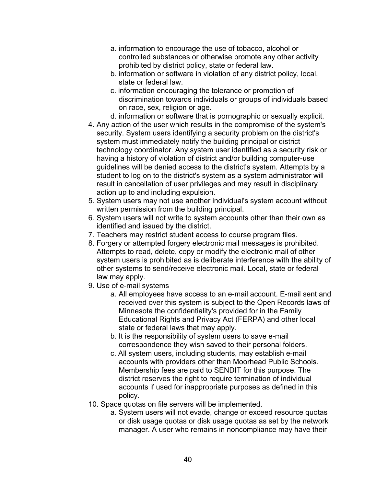- a. information to encourage the use of tobacco, alcohol or controlled substances or otherwise promote any other activity prohibited by district policy, state or federal law.
- b. information or software in violation of any district policy, local, state or federal law.
- c. information encouraging the tolerance or promotion of discrimination towards individuals or groups of individuals based on race, sex, religion or age.
- d. information or software that is pornographic or sexually explicit.
- 4. Any action of the user which results in the compromise of the system's security. System users identifying a security problem on the district's system must immediately notify the building principal or district technology coordinator. Any system user identified as a security risk or having a history of violation of district and/or building computer-use guidelines will be denied access to the district's system. Attempts by a student to log on to the district's system as a system administrator will result in cancellation of user privileges and may result in disciplinary action up to and including expulsion.
- 5. System users may not use another individual's system account without written permission from the building principal.
- 6. System users will not write to system accounts other than their own as identified and issued by the district.
- 7. Teachers may restrict student access to course program files.
- 8. Forgery or attempted forgery electronic mail messages is prohibited. Attempts to read, delete, copy or modify the electronic mail of other system users is prohibited as is deliberate interference with the ability of other systems to send/receive electronic mail. Local, state or federal law may apply.
- 9. Use of e-mail systems
	- a. All employees have access to an e-mail account. E-mail sent and received over this system is subject to the Open Records laws of Minnesota the confidentiality's provided for in the Family Educational Rights and Privacy Act (FERPA) and other local state or federal laws that may apply.
	- b. It is the responsibility of system users to save e-mail correspondence they wish saved to their personal folders.
	- c. All system users, including students, may establish e-mail accounts with providers other than Moorhead Public Schools. Membership fees are paid to SENDIT for this purpose. The district reserves the right to require termination of individual accounts if used for inappropriate purposes as defined in this policy.
- 10. Space quotas on file servers will be implemented.
	- a. System users will not evade, change or exceed resource quotas or disk usage quotas or disk usage quotas as set by the network manager. A user who remains in noncompliance may have their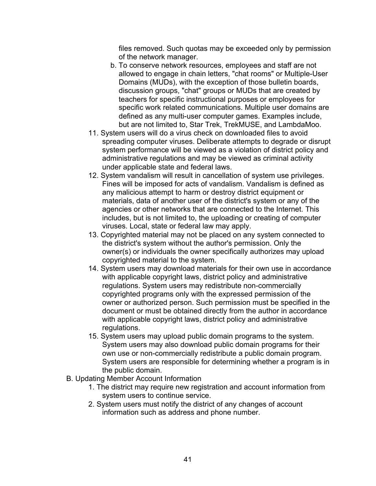files removed. Such quotas may be exceeded only by permission of the network manager.

- b. To conserve network resources, employees and staff are not allowed to engage in chain letters, "chat rooms" or Multiple-User Domains (MUDs), with the exception of those bulletin boards, discussion groups, "chat" groups or MUDs that are created by teachers for specific instructional purposes or employees for specific work related communications. Multiple user domains are defined as any multi-user computer games. Examples include, but are not limited to, Star Trek, TrekMUSE, and LambdaMoo.
- 11. System users will do a virus check on downloaded files to avoid spreading computer viruses. Deliberate attempts to degrade or disrupt system performance will be viewed as a violation of district policy and administrative regulations and may be viewed as criminal activity under applicable state and federal laws.
- 12. System vandalism will result in cancellation of system use privileges. Fines will be imposed for acts of vandalism. Vandalism is defined as any malicious attempt to harm or destroy district equipment or materials, data of another user of the district's system or any of the agencies or other networks that are connected to the Internet. This includes, but is not limited to, the uploading or creating of computer viruses. Local, state or federal law may apply.
- 13. Copyrighted material may not be placed on any system connected to the district's system without the author's permission. Only the owner(s) or individuals the owner specifically authorizes may upload copyrighted material to the system.
- 14. System users may download materials for their own use in accordance with applicable copyright laws, district policy and administrative regulations. System users may redistribute non-commercially copyrighted programs only with the expressed permission of the owner or authorized person. Such permission must be specified in the document or must be obtained directly from the author in accordance with applicable copyright laws, district policy and administrative regulations.
- 15. System users may upload public domain programs to the system. System users may also download public domain programs for their own use or non-commercially redistribute a public domain program. System users are responsible for determining whether a program is in the public domain.
- B. Updating Member Account Information
	- 1. The district may require new registration and account information from system users to continue service.
	- 2. System users must notify the district of any changes of account information such as address and phone number.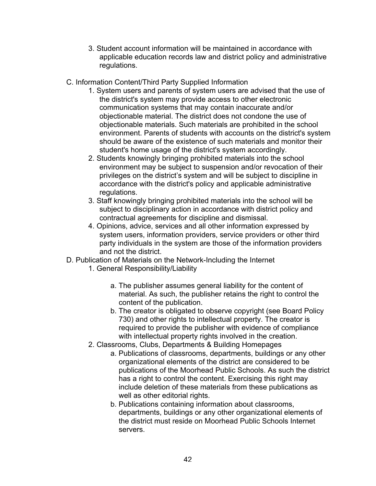- 3. Student account information will be maintained in accordance with applicable education records law and district policy and administrative regulations.
- C. Information Content/Third Party Supplied Information
	- 1. System users and parents of system users are advised that the use of the district's system may provide access to other electronic communication systems that may contain inaccurate and/or objectionable material. The district does not condone the use of objectionable materials. Such materials are prohibited in the school environment. Parents of students with accounts on the district's system should be aware of the existence of such materials and monitor their student's home usage of the district's system accordingly.
	- 2. Students knowingly bringing prohibited materials into the school environment may be subject to suspension and/or revocation of their privileges on the district's system and will be subject to discipline in accordance with the district's policy and applicable administrative regulations.
	- 3. Staff knowingly bringing prohibited materials into the school will be subject to disciplinary action in accordance with district policy and contractual agreements for discipline and dismissal.
	- 4. Opinions, advice, services and all other information expressed by system users, information providers, service providers or other third party individuals in the system are those of the information providers and not the district.
- D. Publication of Materials on the Network-Including the Internet
	- 1. General Responsibility/Liability
		- a. The publisher assumes general liability for the content of material. As such, the publisher retains the right to control the content of the publication.
		- b. The creator is obligated to observe copyright (see Board Policy 730) and other rights to intellectual property. The creator is required to provide the publisher with evidence of compliance with intellectual property rights involved in the creation.
	- 2. Classrooms, Clubs, Departments & Building Homepages
		- a. Publications of classrooms, departments, buildings or any other organizational elements of the district are considered to be publications of the Moorhead Public Schools. As such the district has a right to control the content. Exercising this right may include deletion of these materials from these publications as well as other editorial rights.
		- b. Publications containing information about classrooms, departments, buildings or any other organizational elements of the district must reside on Moorhead Public Schools Internet servers.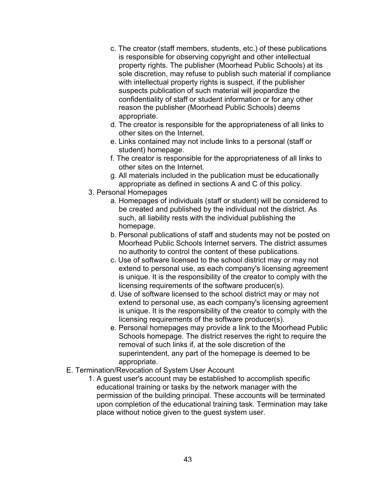- c. The creator (staff members, students, etc.) of these publications is responsible for observing copyright and other intellectual property rights. The publisher (Moorhead Public Schools) at its sole discretion, may refuse to publish such material if compliance with intellectual property rights is suspect, if the publisher suspects publication of such material will jeopardize the confidentiality of staff or student information or for any other reason the publisher (Moorhead Public Schools) deems appropriate.
- d. The creator is responsible for the appropriateness of all links to other sites on the Internet.
- e. Links contained may not include links to a personal (staff or student) homepage.
- f. The creator is responsible for the appropriateness of all links to other sites on the Internet.
- g. All materials included in the publication must be educationally appropriate as defined in sections A and C of this policy.
- 3. Personal Homepages
	- a. Homepages of individuals (staff or student) will be considered to be created and published by the individual not the district. As such, all liability rests with the individual publishing the homepage.
	- b. Personal publications of staff and students may not be posted on Moorhead Public Schools Internet servers. The district assumes no authority to control the content of these publications.
	- c. Use of software licensed to the school district may or may not extend to personal use, as each company's licensing agreement is unique. It is the responsibility of the creator to comply with the licensing requirements of the software producer(s).
	- d. Use of software licensed to the school district may or may not extend to personal use, as each company's licensing agreement is unique. It is the responsibility of the creator to comply with the licensing requirements of the software producer(s).
	- e. Personal homepages may provide a link to the Moorhead Public Schools homepage. The district reserves the right to require the removal of such links if, at the sole discretion of the superintendent, any part of the homepage is deemed to be appropriate.
- E. Termination/Revocation of System User Account
	- 1. A guest user's account may be established to accomplish specific educational training or tasks by the network manager with the permission of the building principal. These accounts will be terminated upon completion of the educational training task. Termination may take place without notice given to the guest system user.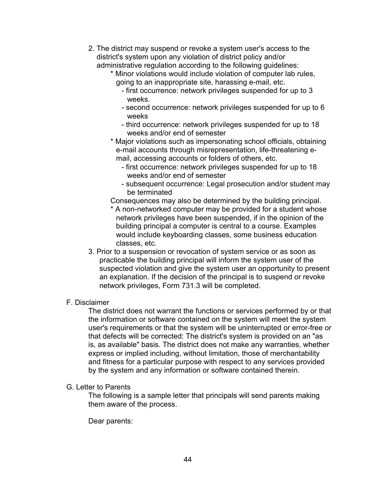- 2. The district may suspend or revoke a system user's access to the district's system upon any violation of district policy and/or administrative regulation according to the following guidelines:
	- \* Minor violations would include violation of computer lab rules, going to an inappropriate site, harassing e-mail, etc.
		- first occurrence: network privileges suspended for up to 3 weeks.
		- second occurrence: network privileges suspended for up to 6 weeks
		- third occurrence: network privileges suspended for up to 18 weeks and/or end of semester
	- \* Major violations such as impersonating school officials, obtaining e-mail accounts through misrepresentation, life-threatening email, accessing accounts or folders of others, etc.
		- first occurrence: network privileges suspended for up to 18 weeks and/or end of semester
		- subsequent occurrence: Legal prosecution and/or student may be terminated
	- Consequences may also be determined by the building principal.
	- \* A non-networked computer may be provided for a student whose network privileges have been suspended, if in the opinion of the building principal a computer is central to a course. Examples would include keyboarding classes, some business education classes, etc.
- 3. Prior to a suspension or revocation of system service or as soon as practicable the building principal will inform the system user of the suspected violation and give the system user an opportunity to present an explanation. If the decision of the principal is to suspend or revoke network privileges, Form 731.3 will be completed.

## F. Disclaimer

The district does not warrant the functions or services performed by or that the information or software contained on the system will meet the system user's requirements or that the system will be uninterrupted or error-free or that defects will be corrected: The district's system is provided on an "as is, as available" basis. The district does not make any warranties, whether express or implied including, without limitation, those of merchantability and fitness for a particular purpose with respect to any services provided by the system and any information or software contained therein.

G. Letter to Parents

The following is a sample letter that principals will send parents making them aware of the process.

Dear parents: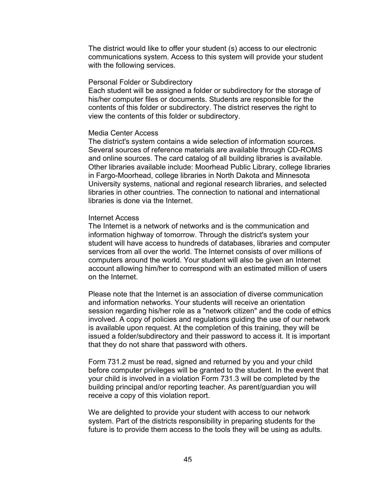The district would like to offer your student (s) access to our electronic communications system. Access to this system will provide your student with the following services.

#### Personal Folder or Subdirectory

Each student will be assigned a folder or subdirectory for the storage of his/her computer files or documents. Students are responsible for the contents of this folder or subdirectory. The district reserves the right to view the contents of this folder or subdirectory.

#### Media Center Access

The district's system contains a wide selection of information sources. Several sources of reference materials are available through CD-ROMS and online sources. The card catalog of all building libraries is available. Other libraries available include: Moorhead Public Library, college libraries in Fargo-Moorhead, college libraries in North Dakota and Minnesota University systems, national and regional research libraries, and selected libraries in other countries. The connection to national and international libraries is done via the Internet.

#### Internet Access

The Internet is a network of networks and is the communication and information highway of tomorrow. Through the district's system your student will have access to hundreds of databases, libraries and computer services from all over the world. The Internet consists of over millions of computers around the world. Your student will also be given an Internet account allowing him/her to correspond with an estimated million of users on the Internet.

Please note that the Internet is an association of diverse communication and information networks. Your students will receive an orientation session regarding his/her role as a "network citizen" and the code of ethics involved. A copy of policies and regulations guiding the use of our network is available upon request. At the completion of this training, they will be issued a folder/subdirectory and their password to access it. It is important that they do not share that password with others.

Form 731.2 must be read, signed and returned by you and your child before computer privileges will be granted to the student. In the event that your child is involved in a violation Form 731.3 will be completed by the building principal and/or reporting teacher. As parent/guardian you will receive a copy of this violation report.

We are delighted to provide your student with access to our network system. Part of the districts responsibility in preparing students for the future is to provide them access to the tools they will be using as adults.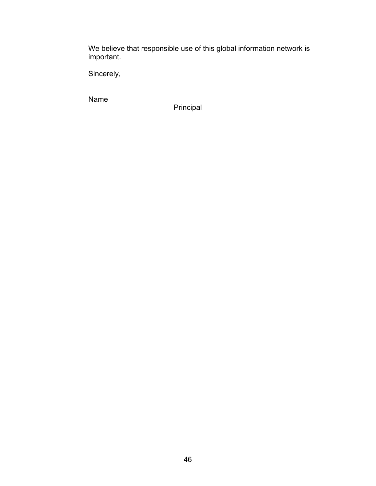We believe that responsible use of this global information network is important.

Sincerely,

Name

Principal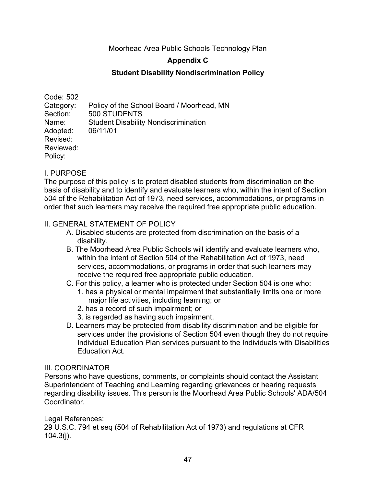Moorhead Area Public Schools Technology Plan

## **Appendix C**

## **Student Disability Nondiscrimination Policy**

Code: 502 Category: Policy of the School Board / Moorhead, MN Section: 500 STUDENTS Name: Student Disability Nondiscrimination Adopted: 06/11/01 Revised: Reviewed: Policy:

## I. PURPOSE

The purpose of this policy is to protect disabled students from discrimination on the basis of disability and to identify and evaluate learners who, within the intent of Section 504 of the Rehabilitation Act of 1973, need services, accommodations, or programs in order that such learners may receive the required free appropriate public education.

#### II. GENERAL STATEMENT OF POLICY

- A. Disabled students are protected from discrimination on the basis of a disability.
- B. The Moorhead Area Public Schools will identify and evaluate learners who, within the intent of Section 504 of the Rehabilitation Act of 1973, need services, accommodations, or programs in order that such learners may receive the required free appropriate public education.
- C. For this policy, a learner who is protected under Section 504 is one who:
	- 1. has a physical or mental impairment that substantially limits one or more major life activities, including learning; or
	- 2. has a record of such impairment; or
	- 3. is regarded as having such impairment.
- D. Learners may be protected from disability discrimination and be eligible for services under the provisions of Section 504 even though they do not require Individual Education Plan services pursuant to the Individuals with Disabilities Education Act.

#### III. COORDINATOR

Persons who have questions, comments, or complaints should contact the Assistant Superintendent of Teaching and Learning regarding grievances or hearing requests regarding disability issues. This person is the Moorhead Area Public Schools' ADA/504 Coordinator.

Legal References:

29 U.S.C. 794 et seq (504 of Rehabilitation Act of 1973) and regulations at CFR 104.3(j).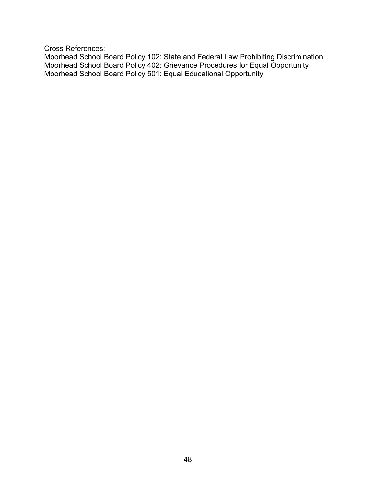Cross References:

Moorhead School Board Policy 102: State and Federal Law Prohibiting Discrimination Moorhead School Board Policy 402: Grievance Procedures for Equal Opportunity Moorhead School Board Policy 501: Equal Educational Opportunity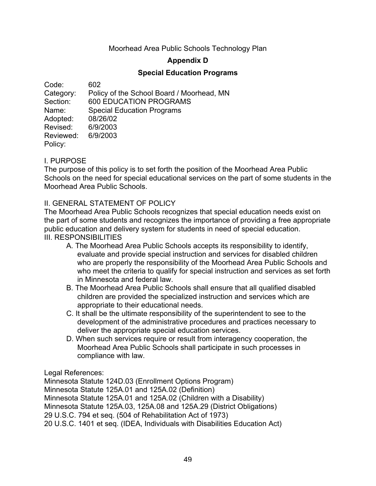## Moorhead Area Public Schools Technology Plan

## **Appendix D**

## **Special Education Programs**

Code: 602 Category: Policy of the School Board / Moorhead, MN Section: 600 EDUCATION PROGRAMS Name: Special Education Programs Adopted: 08/26/02 Revised: 6/9/2003 Reviewed: 6/9/2003 Policy:

## I. PURPOSE

The purpose of this policy is to set forth the position of the Moorhead Area Public Schools on the need for special educational services on the part of some students in the Moorhead Area Public Schools.

#### II. GENERAL STATEMENT OF POLICY

The Moorhead Area Public Schools recognizes that special education needs exist on the part of some students and recognizes the importance of providing a free appropriate public education and delivery system for students in need of special education. III. RESPONSIBILITIES

- A. The Moorhead Area Public Schools accepts its responsibility to identify, evaluate and provide special instruction and services for disabled children who are properly the responsibility of the Moorhead Area Public Schools and who meet the criteria to qualify for special instruction and services as set forth in Minnesota and federal law.
- B. The Moorhead Area Public Schools shall ensure that all qualified disabled children are provided the specialized instruction and services which are appropriate to their educational needs.
- C. It shall be the ultimate responsibility of the superintendent to see to the development of the administrative procedures and practices necessary to deliver the appropriate special education services.
- D. When such services require or result from interagency cooperation, the Moorhead Area Public Schools shall participate in such processes in compliance with law.

Legal References:

Minnesota Statute 124D.03 (Enrollment Options Program) Minnesota Statute 125A.01 and 125A.02 (Definition) Minnesota Statute 125A.01 and 125A.02 (Children with a Disability) Minnesota Statute 125A.03, 125A.08 and 125A.29 (District Obligations) 29 U.S.C. 794 et seq. (504 of Rehabilitation Act of 1973) 20 U.S.C. 1401 et seq. (IDEA, Individuals with Disabilities Education Act)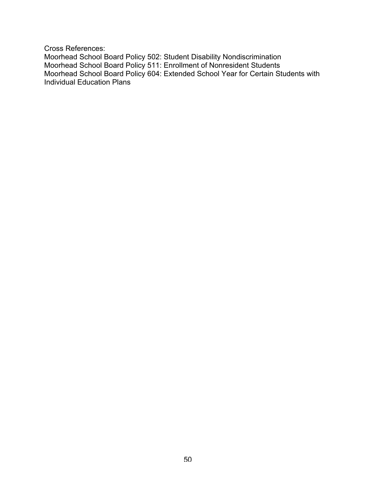Cross References:

Moorhead School Board Policy 502: Student Disability Nondiscrimination Moorhead School Board Policy 511: Enrollment of Nonresident Students Moorhead School Board Policy 604: Extended School Year for Certain Students with Individual Education Plans